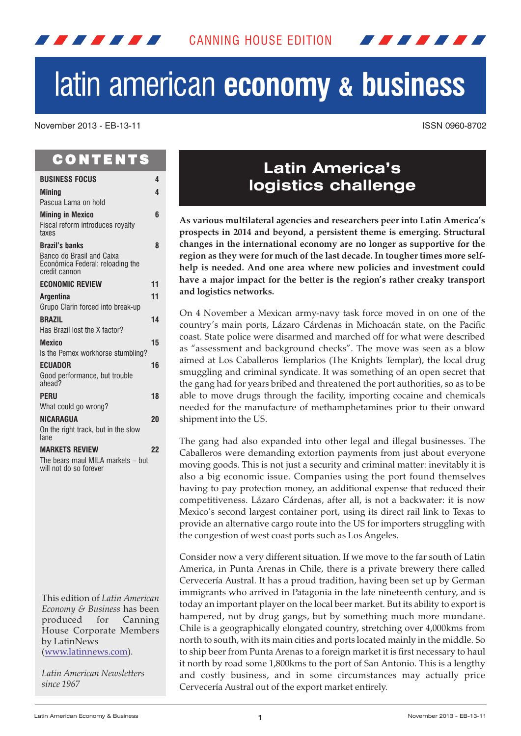

# latin american **economy & business**

November 2013 - EB-13-11 ISSN 0960-8702

# **CONTENTS**

7 7 7 7 7 7 7 7

| <b>BUSINESS FOCUS</b>                                                          | 4  |
|--------------------------------------------------------------------------------|----|
| Minina                                                                         | 4  |
| Pascua Lama on hold                                                            |    |
| <b>Mining in Mexico</b>                                                        | ճ  |
| Fiscal reform introduces royalty<br>taxes                                      |    |
| <b>Brazil's banks</b>                                                          | 8  |
| Banco do Brasil and Caixa<br>Econômica Federal: reloading the<br>credit cannon |    |
| <b>ECONOMIC REVIEW</b>                                                         | 11 |
| <b>Argentina</b>                                                               | 11 |
| Grupo Clarín forced into break-up                                              |    |
| <b>BRAZIL</b>                                                                  | 14 |
| Has Brazil lost the X factor?                                                  |    |
| <b>Mexico</b>                                                                  | 15 |
| Is the Pemex workhorse stumbling?                                              |    |
| <b>ECUADOR</b>                                                                 | 16 |
| Good performance, but trouble<br>ahead?                                        |    |
| PERU                                                                           | 18 |
| What could go wrong?                                                           |    |
| NICARAGUA                                                                      | 20 |
| On the right track, but in the slow<br>lane                                    |    |
| <b>MARKETS REVIEW</b>                                                          | 22 |
| The bears maul MILA markets - but<br>will not do so forever                    |    |

This edition of *Latin American Economy & Business* has been produced for Canning House Corporate Members by LatinNews [\(www.latinnews.com\)](http://www.latinnews.com).

*Latin American Newsletters since 1967*

# **Latin America's logistics challenge**

**As various multilateral agencies and researchers peer into Latin America's prospects in 2014 and beyond, a persistent theme is emerging. Structural changes in the international economy are no longer as supportive for the region as they were for much of the last decade. In tougher times more selfhelp is needed. And one area where new policies and investment could have a major impact for the better is the region's rather creaky transport and logistics networks.**

On 4 November a Mexican army-navy task force moved in on one of the country's main ports, Lázaro Cárdenas in Michoacán state, on the Pacific coast. State police were disarmed and marched off for what were described as "assessment and background checks". The move was seen as a blow aimed at Los Caballeros Templarios (The Knights Templar), the local drug smuggling and criminal syndicate. It was something of an open secret that the gang had for years bribed and threatened the port authorities, so as to be able to move drugs through the facility, importing cocaine and chemicals needed for the manufacture of methamphetamines prior to their onward shipment into the US.

The gang had also expanded into other legal and illegal businesses. The Caballeros were demanding extortion payments from just about everyone moving goods. This is not just a security and criminal matter: inevitably it is also a big economic issue. Companies using the port found themselves having to pay protection money, an additional expense that reduced their competitiveness. Lázaro Cárdenas, after all, is not a backwater: it is now Mexico's second largest container port, using its direct rail link to Texas to provide an alternative cargo route into the US for importers struggling with the congestion of west coast ports such as Los Angeles.

Consider now a very different situation. If we move to the far south of Latin America, in Punta Arenas in Chile, there is a private brewery there called Cervecería Austral. It has a proud tradition, having been set up by German immigrants who arrived in Patagonia in the late nineteenth century, and is today an important player on the local beer market. But its ability to export is hampered, not by drug gangs, but by something much more mundane. Chile is a geographically elongated country, stretching over 4,000kms from north to south, with its main cities and ports located mainly in the middle. So to ship beer from Punta Arenas to a foreign market it is first necessary to haul it north by road some 1,800kms to the port of San Antonio. This is a lengthy and costly business, and in some circumstances may actually price Cervecería Austral out of the export market entirely.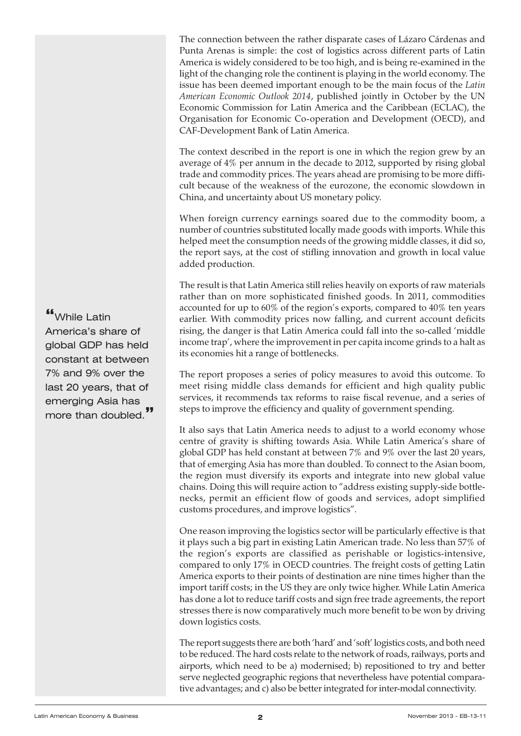The connection between the rather disparate cases of Lázaro Cárdenas and Punta Arenas is simple: the cost of logistics across different parts of Latin America is widely considered to be too high, and is being re-examined in the light of the changing role the continent is playing in the world economy. The issue has been deemed important enough to be the main focus of the *Latin American Economic Outlook 2014*, published jointly in October by the UN Economic Commission for Latin America and the Caribbean (ECLAC), the Organisation for Economic Co-operation and Development (OECD), and CAF-Development Bank of Latin America.

The context described in the report is one in which the region grew by an average of 4% per annum in the decade to 2012, supported by rising global trade and commodity prices. The years ahead are promising to be more difficult because of the weakness of the eurozone, the economic slowdown in China, and uncertainty about US monetary policy.

When foreign currency earnings soared due to the commodity boom, a number of countries substituted locally made goods with imports. While this helped meet the consumption needs of the growing middle classes, it did so, the report says, at the cost of stifling innovation and growth in local value added production.

The result is that Latin America still relies heavily on exports of raw materials rather than on more sophisticated finished goods. In 2011, commodities accounted for up to 60% of the region's exports, compared to 40% ten years earlier. With commodity prices now falling, and current account deficits rising, the danger is that Latin America could fall into the so-called 'middle income trap', where the improvement in per capita income grinds to a halt as its economies hit a range of bottlenecks.

The report proposes a series of policy measures to avoid this outcome. To meet rising middle class demands for efficient and high quality public services, it recommends tax reforms to raise fiscal revenue, and a series of steps to improve the efficiency and quality of government spending.

It also says that Latin America needs to adjust to a world economy whose centre of gravity is shifting towards Asia. While Latin America's share of global GDP has held constant at between 7% and 9% over the last 20 years, that of emerging Asia has more than doubled. To connect to the Asian boom, the region must diversify its exports and integrate into new global value chains. Doing this will require action to "address existing supply-side bottlenecks, permit an efficient flow of goods and services, adopt simplified customs procedures, and improve logistics".

One reason improving the logistics sector will be particularly effective is that it plays such a big part in existing Latin American trade. No less than 57% of the region's exports are classified as perishable or logistics-intensive, compared to only 17% in OECD countries. The freight costs of getting Latin America exports to their points of destination are nine times higher than the import tariff costs; in the US they are only twice higher. While Latin America has done a lot to reduce tariff costs and sign free trade agreements, the report stresses there is now comparatively much more benefit to be won by driving down logistics costs.

The report suggests there are both 'hard' and 'soft' logistics costs, and both need to be reduced. The hard costs relate to the network of roads, railways, ports and airports, which need to be a) modernised; b) repositioned to try and better serve neglected geographic regions that nevertheless have potential comparative advantages; and c) also be better integrated for inter-modal connectivity.

**"**While Latin America's share of global GDP has held constant at between 7% and 9% over the last 20 years, that of emerging Asia has more than doubled.**"**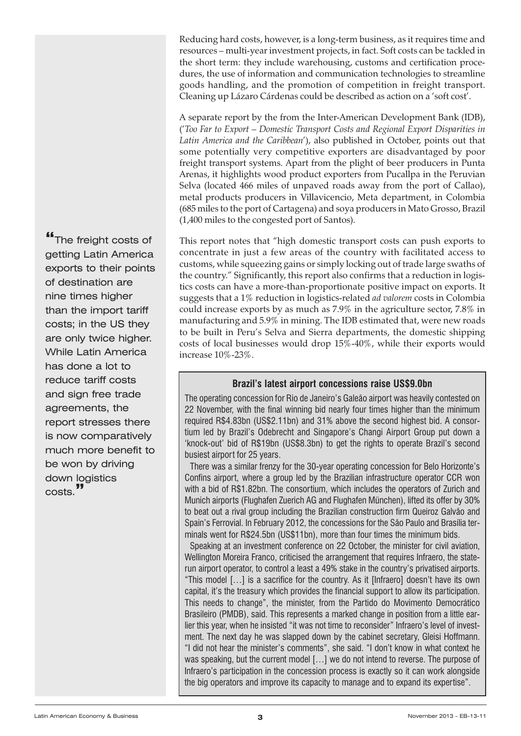Reducing hard costs, however, is a long-term business, as it requires time and resources – multi-year investment projects, in fact. Soft costs can be tackled in the short term: they include warehousing, customs and certification procedures, the use of information and communication technologies to streamline goods handling, and the promotion of competition in freight transport. Cleaning up Lázaro Cárdenas could be described as action on a 'soft cost'.

A separate report by the from the Inter-American Development Bank (IDB), ('*Too Far to Export – Domestic Transport Costs and Regional Export Disparities in Latin America and the Caribbean*'), also published in October, points out that some potentially very competitive exporters are disadvantaged by poor freight transport systems. Apart from the plight of beer producers in Punta Arenas, it highlights wood product exporters from Pucallpa in the Peruvian Selva (located 466 miles of unpaved roads away from the port of Callao), metal products producers in Villavicencio, Meta department, in Colombia (685 miles to the port of Cartagena) and soya producers in Mato Grosso, Brazil (1,400 miles to the congested port of Santos).

This report notes that "high domestic transport costs can push exports to concentrate in just a few areas of the country with facilitated access to customs, while squeezing gains or simply locking out of trade large swaths of the country." Significantly, this report also confirms that a reduction in logistics costs can have a more-than-proportionate positive impact on exports. It suggests that a 1% reduction in logistics-related *ad valorem* costs in Colombia could increase exports by as much as 7.9% in the agriculture sector, 7.8% in manufacturing and 5.9% in mining. The IDB estimated that, were new roads to be built in Peru's Selva and Sierra departments, the domestic shipping costs of local businesses would drop 15%-40%, while their exports would increase 10%-23%.

#### **Brazil's latest airport concessions raise US\$9.0bn**

The operating concession for Rio de Janeiro's Galeão airport was heavily contested on 22 November, with the final winning bid nearly four times higher than the minimum required R\$4.83bn (US\$2.11bn) and 31% above the second highest bid. A consortium led by Brazil's Odebrecht and Singapore's Changi Airport Group put down a 'knock-out' bid of R\$19bn (US\$8.3bn) to get the rights to operate Brazil's second busiest airport for 25 years.

There was a similar frenzy for the 30-year operating concession for Belo Horizonte's Confins airport, where a group led by the Brazilian infrastructure operator CCR won with a bid of R\$1.82bn. The consortium, which includes the operators of Zurich and Munich airports (Flughafen Zuerich AG and Flughafen München), lifted its offer by 30% to beat out a rival group including the Brazilian construction firm Queiroz Galvão and Spain's Ferrovial. In February 2012, the concessions for the São Paulo and Brasília terminals went for R\$24.5bn (US\$11bn), more than four times the minimum bids.

Speaking at an investment conference on 22 October, the minister for civil aviation, Wellington Moreira Franco, criticised the arrangement that requires Infraero, the staterun airport operator, to control a least a 49% stake in the country's privatised airports. "This model […] is a sacrifice for the country. As it [Infraero] doesn't have its own capital, it's the treasury which provides the financial support to allow its participation. This needs to change", the minister, from the Partido do Movimento Democrático Brasileiro (PMDB), said. This represents a marked change in position from a little earlier this year, when he insisted "it was not time to reconsider" Infraero's level of investment. The next day he was slapped down by the cabinet secretary, Gleisi Hoffmann. "I did not hear the minister's comments", she said. "I don't know in what context he was speaking, but the current model […] we do not intend to reverse. The purpose of Infraero's participation in the concession process is exactly so it can work alongside the big operators and improve its capacity to manage and to expand its expertise".

**"**The freight costs of getting Latin America exports to their points of destination are nine times higher than the import tariff costs; in the US they are only twice higher. While Latin America has done a lot to reduce tariff costs and sign free trade agreements, the report stresses there is now comparatively much more benefit to be won by driving down logistics costs.**"**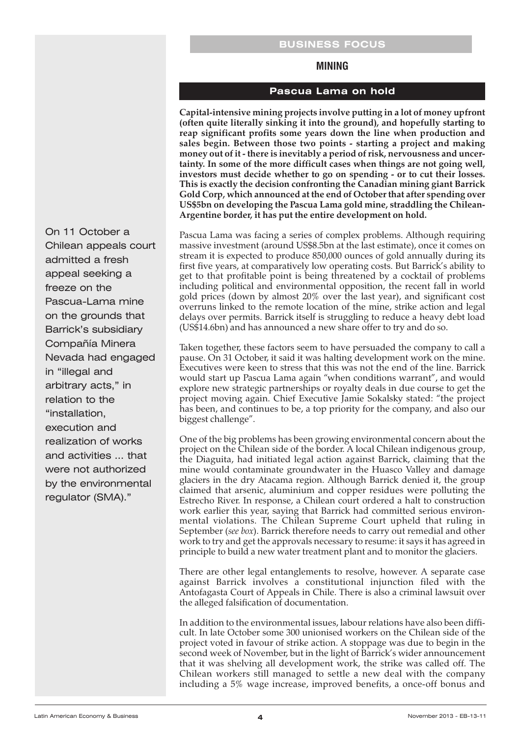# **BUSINESS FOCUS**

#### **MINING**

#### **Pascua Lama on hold**

<span id="page-3-0"></span>**Capital-intensive mining projects involve putting in a lot of money upfront (often quite literally sinking it into the ground), and hopefully starting to reap significant profits some years down the line when production and sales begin. Between those two points - starting a project and making money out of it - there is inevitably a period ofrisk, nervousness and uncertainty. In some of the more difficult cases when things are not going well, investors must decide whether to go on spending - or to cut their losses. This is exactly the decision confronting the Canadian mining giant Barrick Gold Corp, which announced at the end of Octoberthat after spending over US\$5bn on developing the Pascua Lama gold mine, straddling the Chilean-Argentine border, it has put the entire development on hold.**

Pascua Lama was facing a series of complex problems. Although requiring massive investment (around US\$8.5bn at the last estimate), once it comes on stream it is expected to produce 850,000 ounces of gold annually during its first five years, at comparatively low operating costs. But Barrick's ability to get to that profitable point is being threatened by a cocktail of problems including political and environmental opposition, the recent fall in world gold prices (down by almost 20% over the last year), and significant cost overruns linked to the remote location of the mine, strike action and legal delays over permits. Barrick itself is struggling to reduce a heavy debt load (US\$14.6bn) and has announced a new share offer to try and do so.

Taken together, these factors seem to have persuaded the company to call a pause. On 31 October, it said it was halting development work on the mine. Executives were keen to stress that this was not the end of the line. Barrick would start up Pascua Lama again "when conditions warrant", and would explore new strategic partnerships or royalty deals in due course to get the project moving again. Chief Executive Jamie Sokalsky stated: "the project has been, and continues to be, a top priority for the company, and also our biggest challenge".

One of the big problems has been growing environmental concern about the project on the Chilean side of the border. A local Chilean indigenous group, the Diaguita, had initiated legal action against Barrick, claiming that the mine would contaminate groundwater in the Huasco Valley and damage glaciers in the dry Atacama region. Although Barrick denied it, the group claimed that arsenic, aluminium and copper residues were polluting the Estrecho River. In response, a Chilean court ordered a halt to construction work earlier this year, saying that Barrick had committed serious environmental violations. The Chilean Supreme Court upheld that ruling in September (*see box*). Barrick therefore needs to carry out remedial and other work to try and get the approvals necessary to resume: it says it has agreed in principle to build a new water treatment plant and to monitor the glaciers.

There are other legal entanglements to resolve, however. A separate case against Barrick involves a constitutional injunction filed with the Antofagasta Court of Appeals in Chile. There is also a criminal lawsuit over the alleged falsification of documentation.

In addition to the environmental issues, labour relations have also been difficult. In late October some 300 unionised workers on the Chilean side of the project voted in favour of strike action. A stoppage was due to begin in the second week of November, but in the light of Barrick's wider announcement that it was shelving all development work, the strike was called off. The Chilean workers still managed to settle a new deal with the company including a 5% wage increase, improved benefits, a once-off bonus and

On 11 October a Chilean appeals court admitted a fresh appeal seeking a freeze on the Pascua-Lama mine on the grounds that Barrick's subsidiary Compañía Minera Nevada had engaged in "illegal and arbitrary acts," in relation to the "installation, execution and realization of works and activities ... that were not authorized by the environmental regulator (SMA)."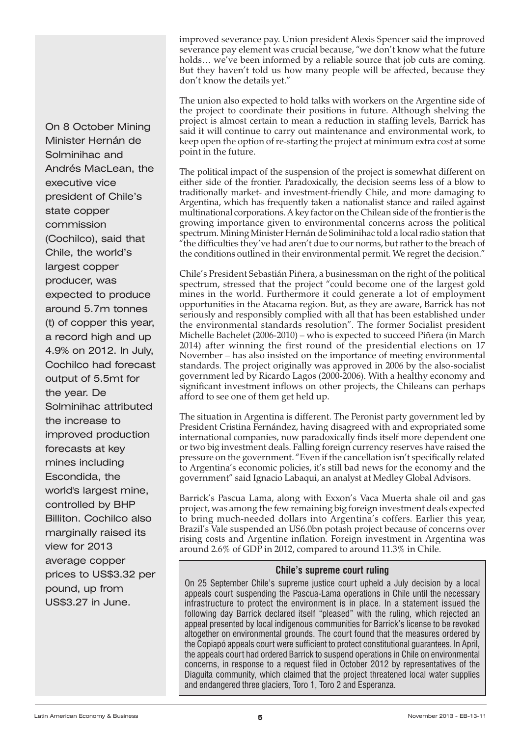On 8 October Mining Minister Hernán de Solminihac and Andrés MacLean, the executive vice president of Chile's state copper commission (Cochilco), said that Chile, the world's largest copper producer, was expected to produce around 5.7m tonnes (t) of copper this year, a record high and up 4.9% on 2012. In July, Cochilco had forecast output of 5.5mt for the year. De Solminihac attributed the increase to improved production forecasts at key mines including Escondida, the world's largest mine, controlled by BHP Billiton. Cochilco also marginally raised its view for 2013 average copper prices to US\$3.32 per pound, up from US\$3.27 in June.

improved severance pay. Union president Alexis Spencer said the improved severance pay element was crucial because, "we don't know what the future holds… we've been informed by a reliable source that job cuts are coming. But they haven't told us how many people will be affected, because they don't know the details yet."

The union also expected to hold talks with workers on the Argentine side of the project to coordinate their positions in future. Although shelving the project is almost certain to mean a reduction in staffing levels, Barrick has said it will continue to carry out maintenance and environmental work, to keep open the option of re-starting the project at minimum extra cost at some point in the future.

The political impact of the suspension of the project is somewhat different on either side of the frontier. Paradoxically, the decision seems less of a blow to traditionally market- and investment-friendly Chile, and more damaging to Argentina, which has frequently taken a nationalist stance and railed against multinational corporations. A key factor on the Chilean side of the frontier is the growing importance given to environmental concerns across the political spectrum. Mining Minister Hernán de Soliminihac told a local radio station that "the difficulties they've had aren't due to our norms, but rather to the breach of the conditions outlined in their environmental permit. We regret the decision."

Chile's President Sebastián Piñera, a businessman on the right of the political spectrum, stressed that the project "could become one of the largest gold mines in the world. Furthermore it could generate a lot of employment opportunities in the Atacama region. But, as they are aware, Barrick has not seriously and responsibly complied with all that has been established under the environmental standards resolution". The former Socialist president Michelle Bachelet (2006-2010) – who is expected to succeed Piñera (in March 2014) after winning the first round of the presidential elections on 17 November – has also insisted on the importance of meeting environmental standards. The project originally was approved in 2006 by the also-socialist government led by Ricardo Lagos (2000-2006). With a healthy economy and significant investment inflows on other projects, the Chileans can perhaps afford to see one of them get held up.

The situation in Argentina is different. The Peronist party government led by President Cristina Fernández, having disagreed with and expropriated some international companies, now paradoxically finds itself more dependent one or two big investment deals. Falling foreign currency reserves have raised the pressure on the government. "Even if the cancellation isn't specifically related to Argentina's economic policies, it's still bad news for the economy and the government" said Ignacio Labaqui, an analyst at Medley Global Advisors.

Barrick's Pascua Lama, along with Exxon's Vaca Muerta shale oil and gas project, was among the few remaining big foreign investment deals expected to bring much-needed dollars into Argentina's coffers. Earlier this year, Brazil's Vale suspended an US6.0bn potash project because of concerns over rising costs and Argentine inflation. Foreign investment in Argentina was around 2.6% of GDP in 2012, compared to around 11.3% in Chile.

#### **Chile's supreme court ruling**

On 25 September Chile's supreme justice court upheld a July decision by a local appeals court suspending the Pascua-Lama operations in Chile until the necessary infrastructure to protect the environment is in place. In a statement issued the following day Barrick declared itself "pleased" with the ruling, which rejected an appeal presented by local indigenous communities for Barrick's license to be revoked altogether on environmental grounds. The court found that the measures ordered by the Copiapó appeals court were sufficient to protect constitutional guarantees. In April, the appeals court had ordered Barrick to suspend operations in Chile on environmental concerns, in response to a request filed in October 2012 by representatives of the Diaguita community, which claimed that the project threatened local water supplies and endangered three glaciers, Toro 1, Toro 2 and Esperanza.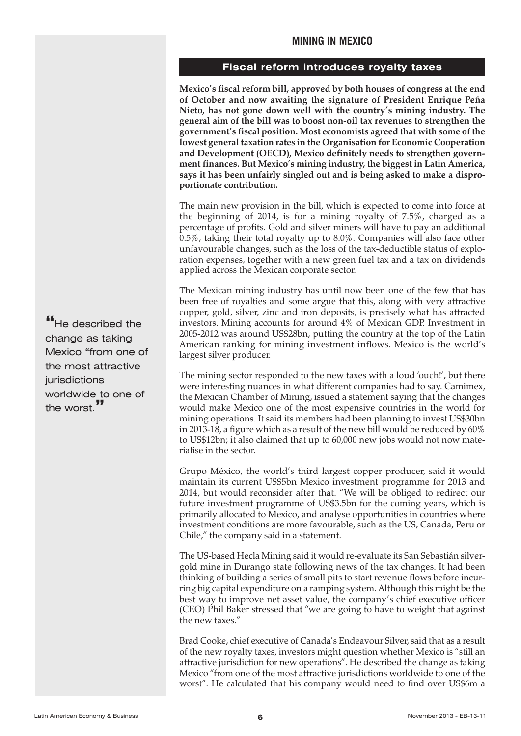# **MINING IN MEXICO**

#### **Fiscal reform introduces royalty taxes**

<span id="page-5-0"></span>**Mexico's fiscal reform bill, approved by both houses of congress at the end of October and now awaiting the signature of President Enrique Peña Nieto, has not gone down well with the country's mining industry. The general aim of the bill was to boost non-oil tax revenues to strengthen the government's fiscal position. Most economists agreed that with some of the lowest general taxation rates in the Organisation for Economic Cooperation and Development (OECD), Mexico definitely needs to strengthen government finances. But Mexico's mining industry, the biggest in Latin America, says it has been unfairly singled out and is being asked to make a disproportionate contribution.**

The main new provision in the bill, which is expected to come into force at the beginning of 2014, is for a mining royalty of 7.5%, charged as a percentage of profits. Gold and silver miners will have to pay an additional 0.5%, taking their total royalty up to 8.0%. Companies will also face other unfavourable changes, such as the loss of the tax-deductible status of exploration expenses, together with a new green fuel tax and a tax on dividends applied across the Mexican corporate sector.

The Mexican mining industry has until now been one of the few that has been free of royalties and some argue that this, along with very attractive copper, gold, silver, zinc and iron deposits, is precisely what has attracted investors. Mining accounts for around 4% of Mexican GDP. Investment in 2005-2012 was around US\$28bn, putting the country at the top of the Latin American ranking for mining investment inflows. Mexico is the world's largest silver producer.

The mining sector responded to the new taxes with a loud 'ouch!', but there were interesting nuances in what different companies had to say. Camimex, the Mexican Chamber of Mining, issued a statement saying that the changes would make Mexico one of the most expensive countries in the world for mining operations. It said its members had been planning to invest US\$30bn in 2013-18, a figure which as a result of the new bill would be reduced by 60% to US\$12bn; it also claimed that up to 60,000 new jobs would not now materialise in the sector.

Grupo México, the world's third largest copper producer, said it would maintain its current US\$5bn Mexico investment programme for 2013 and 2014, but would reconsider after that. "We will be obliged to redirect our future investment programme of US\$3.5bn for the coming years, which is primarily allocated to Mexico, and analyse opportunities in countries where investment conditions are more favourable, such as the US, Canada, Peru or Chile," the company said in a statement.

The US-based Hecla Mining said it would re-evaluate its San Sebastián silvergold mine in Durango state following news of the tax changes. It had been thinking of building a series of small pits to start revenue flows before incurring big capital expenditure on a ramping system. Although this might be the best way to improve net asset value, the company's chief executive officer (CEO) Phil Baker stressed that "we are going to have to weight that against the new taxes."

Brad Cooke, chief executive of Canada's Endeavour Silver, said that as a result of the new royalty taxes, investors might question whether Mexico is "still an attractive jurisdiction for new operations". He described the change as taking Mexico "from one of the most attractive jurisdictions worldwide to one of the worst". He calculated that his company would need to find over US\$6m a

**"**He described the change as taking Mexico "from one of the most attractive iurisdictions worldwide to one of the worst.**"**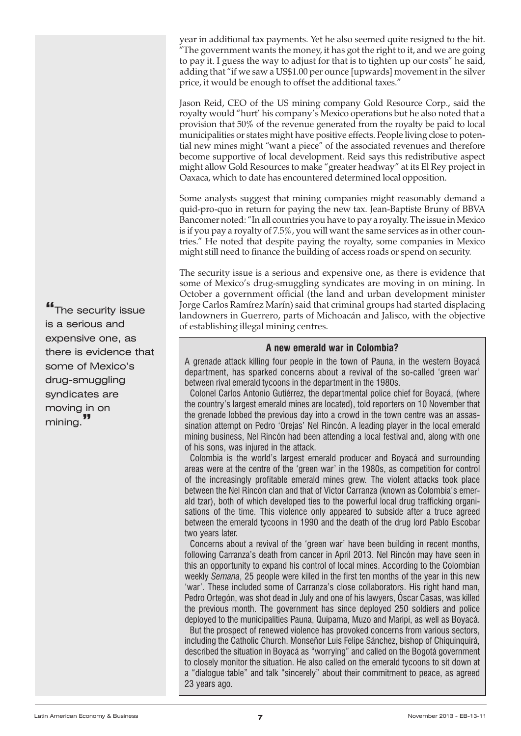year in additional tax payments. Yet he also seemed quite resigned to the hit. "The government wants the money, it has got the right to it, and we are going to pay it. I guess the way to adjust for that is to tighten up our costs" he said, adding that "if we saw a US\$1.00 per ounce [upwards] movement in the silver price, it would be enough to offset the additional taxes."

Jason Reid, CEO of the US mining company Gold Resource Corp., said the royalty would "hurt' his company's Mexico operations but he also noted that a provision that 50% of the revenue generated from the royalty be paid to local municipalities or states might have positive effects. People living close to potential new mines might "want a piece" of the associated revenues and therefore become supportive of local development. Reid says this redistributive aspect might allow Gold Resources to make "greater headway" at its El Rey project in Oaxaca, which to date has encountered determined local opposition.

Some analysts suggest that mining companies might reasonably demand a quid-pro-quo in return for paying the new tax. Jean-Baptiste Bruny of BBVA Bancomer noted: "In all countries you have to pay a royalty. The issue in Mexico is if you pay a royalty of 7.5%, you will want the same services as in other countries." He noted that despite paying the royalty, some companies in Mexico might still need to finance the building of access roads or spend on security.

The security issue is a serious and expensive one, as there is evidence that some of Mexico's drug-smuggling syndicates are moving in on mining. In October a government official (the land and urban development minister Jorge Carlos Ramírez Marín) said that criminal groups had started displacing landowners in Guerrero, parts of Michoacán and Jalisco, with the objective of establishing illegal mining centres.

# **A new emerald war in Colombia?**

A grenade attack killing four people in the town of Pauna, in the western Boyacá department, has sparked concerns about a revival of the so-called 'green war' between rival emerald tycoons in the department in the 1980s.

Colonel Carlos Antonio Gutiérrez, the departmental police chief for Boyacá, (where the country's largest emerald mines are located), told reporters on 10 November that the grenade lobbed the previous day into a crowd in the town centre was an assassination attempt on Pedro 'Orejas' Nel Rincón. A leading player in the local emerald mining business, Nel Rincón had been attending a local festival and, along with one of his sons, was injured in the attack.

Colombia is the world's largest emerald producer and Boyacá and surrounding areas were at the centre of the 'green war' in the 1980s, as competition for control of the increasingly profitable emerald mines grew. The violent attacks took place between the Nel Rincón clan and that of Víctor Carranza (known as Colombia's emerald tzar), both of which developed ties to the powerful local drug trafficking organisations of the time. This violence only appeared to subside after a truce agreed between the emerald tycoons in 1990 and the death of the drug lord Pablo Escobar two years later.

Concerns about a revival of the 'green war' have been building in recent months, following Carranza's death from cancer in April 2013. Nel Rincón may have seen in this an opportunity to expand his control of local mines. According to the Colombian weekly *Semana*, 25 people were killed in the first ten months of the year in this new 'war'. These included some of Carranza's close collaborators. His right hand man, Pedro Ortegón, was shot dead in July and one of his lawyers, Óscar Casas, was killed the previous month. The government has since deployed 250 soldiers and police deployed to the municipalities Pauna, Quípama, Muzo and Maripí, as well as Boyacá.

But the prospect of renewed violence has provoked concerns from various sectors, including the Catholic Church. Monseñor Luis Felipe Sánchez, bishop of Chiquinquirá, described the situation in Boyacá as "worrying" and called on the Bogotá government to closely monitor the situation. He also called on the emerald tycoons to sit down at a "dialogue table" and talk "sincerely" about their commitment to peace, as agreed 23 years ago.

**"**The security issue is a serious and expensive one, as there is evidence that some of Mexico's drug-smuggling syndicates are moving in on mining.**"**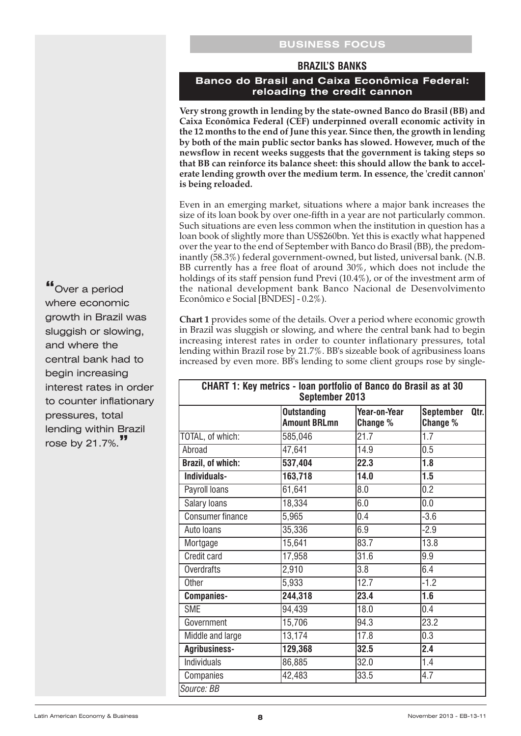# **BRAZIL'S BANKS**

#### <span id="page-7-0"></span>**Banco do Brasil and Caixa Econômica Federal: reloading the credit cannon**

**Very strong growth in lending by the state-owned Banco do Brasil (BB) and Caixa Econômica Federal (CEF) underpinned overall economic activity in the 12 months to the end ofJune this year. Since then, the growth in lending by both of the main public sector banks has slowed. However, much of the newsflow in recent weeks suggests that the government is taking steps so that BB can reinforce its balance sheet: this should allow the bank to accelerate lending growth over the medium term. In essence, the 'credit cannon' is being reloaded.**

Even in an emerging market, situations where a major bank increases the size of its loan book by over one-fifth in a year are not particularly common. Such situations are even less common when the institution in question has a loan book of slightly more than US\$260bn. Yet this is exactly what happened over the year to the end of September with Banco do Brasil (BB), the predominantly (58.3%) federal government-owned, but listed, universal bank. (N.B. BB currently has a free float of around 30%, which does not include the holdings of its staff pension fund Previ (10.4%), or of the investment arm of the national development bank Banco Nacional de Desenvolvimento Econômico e Social [BNDES] - 0.2%).

**Chart 1** provides some of the details. Over a period where economic growth in Brazil was sluggish or slowing, and where the central bank had to begin increasing interest rates in order to counter inflationary pressures, total lending within Brazil rose by 21.7%. BB's sizeable book of agribusiness loans increased by even more. BB's lending to some client groups rose by single-

| CHART 1: Key metrics - Ioan portfolio of Banco do Brasil as at 30<br>September 2013 |                                           |                                 |                                         |  |  |
|-------------------------------------------------------------------------------------|-------------------------------------------|---------------------------------|-----------------------------------------|--|--|
|                                                                                     | <b>Outstanding</b><br><b>Amount BRLmn</b> | <b>Year-on-Year</b><br>Change % | <b>September</b><br>$Q$ tr.<br>Change % |  |  |
| TOTAL, of which:                                                                    | 585,046                                   | 21.7                            | 1.7                                     |  |  |
| Abroad                                                                              | 47,641                                    | 14.9                            | 0.5                                     |  |  |
| <b>Brazil</b> , of which:                                                           | 537,404                                   | 22.3                            | 1.8                                     |  |  |
| Individuals-                                                                        | 163,718                                   | 14.0                            | 1.5                                     |  |  |
| Payroll loans                                                                       | 61,641                                    | $\overline{8.0}$                | 0.2                                     |  |  |
| Salary loans                                                                        | 18,334                                    | 6.0                             | $\overline{0.0}$                        |  |  |
| <b>Consumer finance</b>                                                             | 5,965                                     | 0.4                             | $-3.6$                                  |  |  |
| Auto Ioans                                                                          | 35,336                                    | 6.9                             | $-2.9$                                  |  |  |
| Mortgage                                                                            | 15,641                                    | 83.7                            | 13.8                                    |  |  |
| <b>Credit card</b>                                                                  | 17,958                                    | 31.6                            | 9.9                                     |  |  |
| <b>Overdrafts</b>                                                                   | 2,910                                     | 3.8                             | 6.4                                     |  |  |
| Other                                                                               | 5,933                                     | 12.7                            | $-1.2$                                  |  |  |
| <b>Companies-</b>                                                                   | 244,318                                   | 23.4                            | 1.6                                     |  |  |
| <b>SME</b>                                                                          | 94,439                                    | 18.0                            | 0.4                                     |  |  |
| Government                                                                          | 15,706                                    | 94.3                            | 23.2                                    |  |  |
| Middle and large                                                                    | 13,174                                    | 17.8                            | 0.3                                     |  |  |
| <b>Agribusiness-</b>                                                                | 129,368                                   | 32.5                            | 2.4                                     |  |  |
| Individuals                                                                         | 86,885                                    | 32.0                            | 1.4                                     |  |  |
| Companies                                                                           | 42,483                                    | 33.5                            | 4.7                                     |  |  |
| Source: BB                                                                          |                                           |                                 |                                         |  |  |

**"**Over <sup>a</sup> period where economic growth in Brazil was sluggish or slowing, and where the central bank had to begin increasing interest rates in order to counter inflationary pressures, total lending within Brazil rose by 21.7%.**"**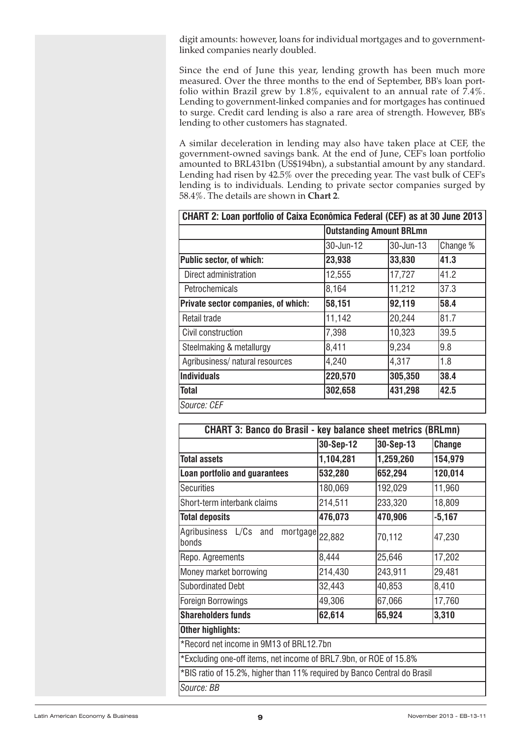digit amounts: however, loans for individual mortgages and to governmentlinked companies nearly doubled.

Since the end of June this year, lending growth has been much more measured. Over the three months to the end of September, BB's loan portfolio within Brazil grew by 1.8%, equivalent to an annual rate of  $7.4\%$ . Lending to government-linked companies and for mortgages has continued to surge. Credit card lending is also a rare area of strength. However, BB's lending to other customers has stagnated.

A similar deceleration in lending may also have taken place at CEF, the government-owned savings bank. At the end of June, CEF's loan portfolio amounted to BRL431bn (US\$194bn), a substantial amount by any standard. Lending had risen by 42.5% over the preceding year. The vast bulk of CEF's lending is to individuals. Lending to private sector companies surged by 58.4%. The details are shown in **Chart 2**.

| CHART 2: Loan portfolio of Caixa Econômica Federal (CEF) as at 30 June 2013 |           |                                 |          |  |
|-----------------------------------------------------------------------------|-----------|---------------------------------|----------|--|
|                                                                             |           | <b>Outstanding Amount BRLmn</b> |          |  |
|                                                                             | 30-Jun-12 | 30-Jun-13                       | Change % |  |
| Public sector, of which:                                                    | 23,938    | 33,830                          | 41.3     |  |
| Direct administration                                                       | 12,555    | 17,727                          | 41.2     |  |
| Petrochemicals                                                              | 8,164     | 11,212                          | 37.3     |  |
| Private sector companies, of which:                                         | 58,151    | 92,119                          | 58.4     |  |
| <b>Retail trade</b>                                                         | 11,142    | 20,244                          | 81.7     |  |
| Civil construction                                                          | 7,398     | 10,323                          | 39.5     |  |
| Steelmaking & metallurgy                                                    | 8,411     | 9,234                           | 9.8      |  |
| Agribusiness/ natural resources                                             | 4,240     | 4,317                           | 1.8      |  |
| <b>Individuals</b>                                                          | 220,570   | 305,350                         | 38.4     |  |
| <b>Total</b>                                                                | 302,658   | 431,298                         | 42.5     |  |
| Source: CEF                                                                 |           |                                 |          |  |

| <b>CHART 3: Banco do Brasil - key balance sheet metrics (BRLmn)</b>      |           |           |          |  |  |
|--------------------------------------------------------------------------|-----------|-----------|----------|--|--|
|                                                                          | 30-Sep-12 | 30-Sep-13 | Change   |  |  |
| <b>Total assets</b>                                                      | 1,104,281 | 1,259,260 | 154,979  |  |  |
| Loan portfolio and guarantees                                            | 532,280   | 652,294   | 120,014  |  |  |
| <b>Securities</b>                                                        | 180,069   | 192,029   | 11,960   |  |  |
| Short-term interbank claims                                              | 214,511   | 233,320   | 18,809   |  |  |
| <b>Total deposits</b>                                                    | 476,073   | 470,906   | $-5,167$ |  |  |
| Agribusiness L/Cs and<br>mortgage<br>bonds                               | 22,882    | 70,112    | 47,230   |  |  |
| Repo. Agreements                                                         | 8,444     | 25,646    | 17,202   |  |  |
| Money market borrowing                                                   | 214,430   | 243,911   | 29,481   |  |  |
| <b>Subordinated Debt</b>                                                 | 32,443    | 40,853    | 8,410    |  |  |
| <b>Foreign Borrowings</b>                                                | 49,306    | 67,066    | 17,760   |  |  |
| <b>Shareholders funds</b>                                                | 62,614    | 65,924    | 3,310    |  |  |
| <b>Other highlights:</b>                                                 |           |           |          |  |  |
| *Record net income in 9M13 of BRL12.7bn                                  |           |           |          |  |  |
| *Excluding one-off items, net income of BRL7.9bn, or ROE of 15.8%        |           |           |          |  |  |
| *BIS ratio of 15.2%, higher than 11% required by Banco Central do Brasil |           |           |          |  |  |
| Source: BB                                                               |           |           |          |  |  |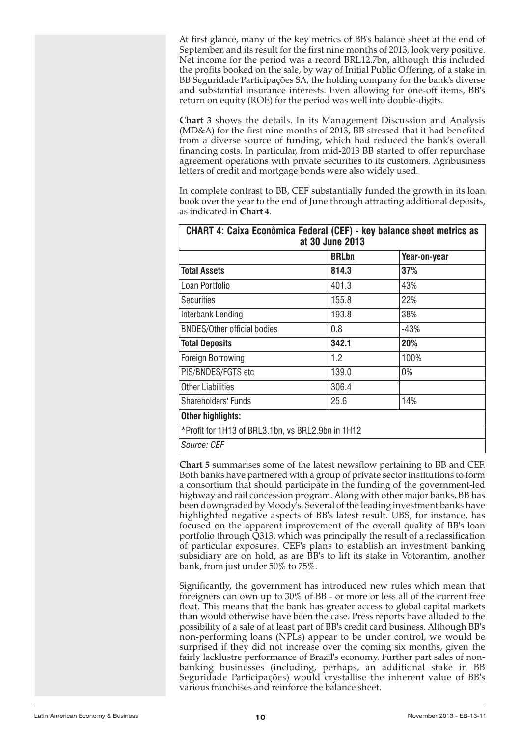At first glance, many of the key metrics of BB's balance sheet at the end of September, and its result for the first nine months of 2013, look very positive. Net income for the period was a record BRL12.7bn, although this included the profits booked on the sale, by way of Initial Public Offering, of a stake in BB Seguridade Participações SA, the holding company for the bank's diverse and substantial insurance interests. Even allowing for one-off items, BB's return on equity (ROE) for the period was well into double-digits.

**Chart 3** shows the details. In its Management Discussion and Analysis (MD&A) for the first nine months of 2013, BB stressed that it had benefited from a diverse source of funding, which had reduced the bank's overall financing costs. In particular, from mid-2013 BB started to offer repurchase agreement operations with private securities to its customers. Agribusiness letters of credit and mortgage bonds were also widely used.

In complete contrast to BB, CEF substantially funded the growth in its loan book over the year to the end of June through attracting additional deposits, as indicated in **Chart 4**.

| CHART 4: Caixa Econômica Federal (CEF) - key balance sheet metrics as<br>at 30 June 2013 |              |              |  |
|------------------------------------------------------------------------------------------|--------------|--------------|--|
|                                                                                          | <b>BRLbn</b> | Year-on-year |  |
| <b>Total Assets</b>                                                                      | 814.3        | 37%          |  |
| Loan Portfolio                                                                           | 401.3        | 43%          |  |
| <b>Securities</b>                                                                        | 155.8        | 22%          |  |
| Interbank Lending                                                                        | 193.8        | 38%          |  |
| <b>BNDES/Other official bodies</b>                                                       | 0.8          | $-43%$       |  |
| <b>Total Deposits</b>                                                                    | 342.1        | 20%          |  |
| <b>Foreign Borrowing</b>                                                                 | 1.2          | 100%         |  |
| PIS/BNDES/FGTS etc                                                                       | 139.0        | 0%           |  |
| <b>Other Liabilities</b>                                                                 | 306.4        |              |  |
| <b>Shareholders' Funds</b>                                                               | 25.6         | 14%          |  |
| <b>Other highlights:</b>                                                                 |              |              |  |
| *Profit for 1H13 of BRL3.1bn, vs BRL2.9bn in 1H12                                        |              |              |  |
| Source: CEF                                                                              |              |              |  |

**Chart 5** summarises some of the latest newsflow pertaining to BB and CEF. Both banks have partnered with a group of private sectorinstitutions to form a consortium that should participate in the funding of the government-led highway and rail concession program. Along with other major banks, BB has been downgraded by Moody's. Several of the leading investment banks have highlighted negative aspects of BB's latest result. UBS, for instance, has focused on the apparent improvement of the overall quality of BB's loan portfolio through Q313, which was principally the result of a reclassification of particular exposures. CEF's plans to establish an investment banking subsidiary are on hold, as are BB's to lift its stake in Votorantim, another bank, from just under 50% to 75%.

Significantly, the government has introduced new rules which mean that foreigners can own up to 30% of BB - or more or less all of the current free float. This means that the bank has greater access to global capital markets than would otherwise have been the case. Press reports have alluded to the possibility of a sale of at least part of BB's credit card business. Although BB's non-performing loans (NPLs) appear to be under control, we would be surprised if they did not increase over the coming six months, given the fairly lacklustre performance of Brazil's economy. Further part sales of nonbanking businesses (including, perhaps, an additional stake in BB Seguridade Participações) would crystallise the inherent value of BB's various franchises and reinforce the balance sheet.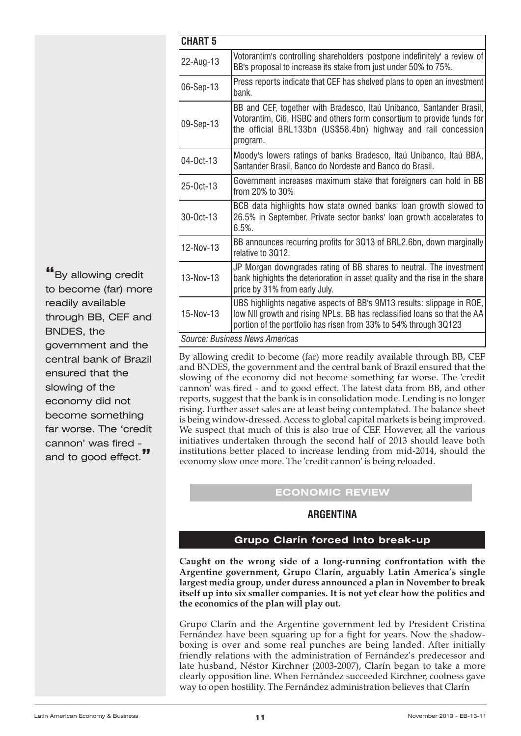<span id="page-10-0"></span>

| <b>CHART 5</b>                 |                                                                                                                                                                                                                              |  |  |
|--------------------------------|------------------------------------------------------------------------------------------------------------------------------------------------------------------------------------------------------------------------------|--|--|
| 22-Aug-13                      | Votorantim's controlling shareholders 'postpone indefinitely' a review of<br>BB's proposal to increase its stake from just under 50% to 75%.                                                                                 |  |  |
| 06-Sep-13                      | Press reports indicate that CEF has shelved plans to open an investment<br>bank.                                                                                                                                             |  |  |
| 09-Sep-13                      | BB and CEF, together with Bradesco, Itaú Unibanco, Santander Brasil,<br>Votorantim, Citi, HSBC and others form consortium to provide funds for<br>the official BRL133bn (US\$58.4bn) highway and rail concession<br>program. |  |  |
| 04-0ct-13                      | Moody's lowers ratings of banks Bradesco, Itaú Unibanco, Itaú BBA,<br>Santander Brasil, Banco do Nordeste and Banco do Brasil.                                                                                               |  |  |
| 25-0ct-13                      | Government increases maximum stake that foreigners can hold in BB<br>from 20% to 30%                                                                                                                                         |  |  |
| 30-Oct-13                      | BCB data highlights how state owned banks' loan growth slowed to<br>26.5% in September. Private sector banks' loan growth accelerates to<br>$6.5\%$ .                                                                        |  |  |
| 12-Nov-13                      | BB announces recurring profits for 3Q13 of BRL2.6bn, down marginally<br>relative to 3012.                                                                                                                                    |  |  |
| 13-Nov-13                      | JP Morgan downgrades rating of BB shares to neutral. The investment<br>bank highights the deterioration in asset quality and the rise in the share<br>price by 31% from early July.                                          |  |  |
| 15-Nov-13                      | UBS highlights negative aspects of BB's 9M13 results: slippage in ROE,<br>low NII growth and rising NPLs. BB has reclassified loans so that the AA<br>portion of the portfolio has risen from 33% to 54% through 3Q123       |  |  |
| Source: Business News Americas |                                                                                                                                                                                                                              |  |  |

By allowing credit to become (far) more readily available through BB, CEF and BNDES, the government and the central bank of Brazil ensured that the slowing of the economy did not become something far worse. The 'credit cannon' was fired - and to good effect. The latest data from BB, and other reports, suggest that the bank is in consolidation mode. Lending is no longer rising. Further asset sales are at least being contemplated. The balance sheet is being window-dressed. Access to global capital markets is being improved. We suspect that much of this is also true of CEF. However, all the various initiatives undertaken through the second half of 2013 should leave both institutions better placed to increase lending from mid-2014, should the economy slow once more. The 'credit cannon' is being reloaded.

# **ECONOMIC REVIEW**

#### **ARGENTINA**

#### **Grupo Clarín forced into break-up**

**Caught on the wrong side of a long-running confrontation with the Argentine government, Grupo Clarín, arguably Latin America's single largest media group, under duress announced a plan in November to break itself up into six smaller companies. It is not yet clear how the politics and the economics of the plan will play out.**

Grupo Clarín and the Argentine government led by President Cristina Fernández have been squaring up for a fight for years. Now the shadowboxing is over and some real punches are being landed. After initially friendly relations with the administration of Fernández's predecessor and late husband, Néstor Kirchner (2003-2007), Clarín began to take a more clearly opposition line. When Fernández succeeded Kirchner, coolness gave way to open hostility. The Fernández administration believes that Clarín

**"**By allowing credit to become (far) more readily available through BB, CEF and BNDES, the government and the central bank of Brazil ensured that the slowing of the economy did not become something far worse. The 'credit cannon' was fired and to good effect.**"**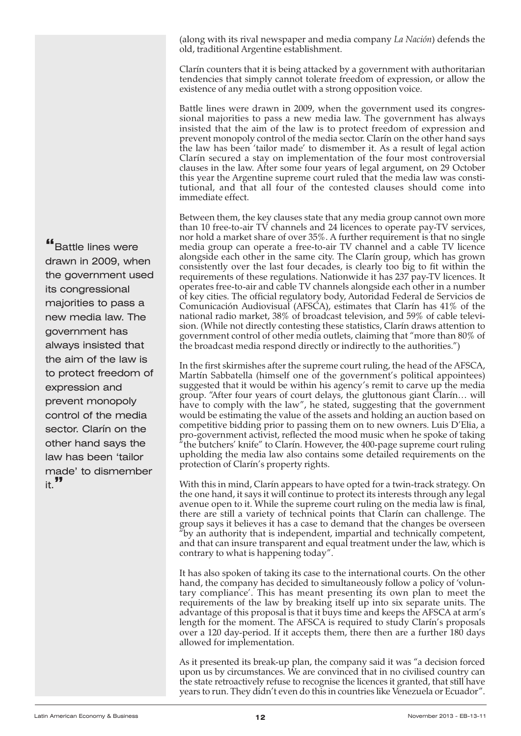(along with its rival newspaper and media company *La Nación*) defends the old, traditional Argentine establishment.

Clarín counters that it is being attacked by a government with authoritarian tendencies that simply cannot tolerate freedom of expression, or allow the existence of any media outlet with a strong opposition voice.

Battle lines were drawn in 2009, when the government used its congressional majorities to pass a new media law. The government has always insisted that the aim of the law is to protect freedom of expression and prevent monopoly control of the media sector. Clarín on the other hand says the law has been 'tailor made' to dismember it. As a result of legal action Clarín secured a stay on implementation of the four most controversial clauses in the law. After some four years of legal argument, on 29 October this year the Argentine supreme court ruled that the media law was constitutional, and that all four of the contested clauses should come into immediate effect.

Between them, the key clauses state that any media group cannot own more than 10 free-to-air TV channels and 24 licences to operate pay-TV services, nor hold a market share of over 35%. A further requirement is that no single media group can operate a free-to-air TV channel and a cable TV licence alongside each other in the same city. The Clarín group, which has grown consistently over the last four decades, is clearly too big to fit within the requirements of these regulations. Nationwide it has 237 pay-TV licences. It operates free-to-air and cable TV channels alongside each other in a number of key cities. The official regulatory body, Autoridad Federal de Servicios de Comunicación Audiovisual (AFSCA), estimates that Clarín has 41% of the national radio market, 38% of broadcast television, and 59% of cable television. (While not directly contesting these statistics, Clarín draws attention to government control of other media outlets, claiming that "more than 80% of the broadcast media respond directly or indirectly to the authorities.")

In the first skirmishes after the supreme court ruling, the head of the AFSCA, Martín Sabbatella (himself one of the government's political appointees) suggested that it would be within his agency's remit to carve up the media group. "After four years of court delays, the gluttonous giant Clarín… will have to comply with the law", he stated, suggesting that the government would be estimating the value of the assets and holding an auction based on competitive bidding prior to passing them on to new owners. Luis D'Elia, a pro-government activist, reflected the mood music when he spoke of taking "the butchers' knife" to Clarín. However, the 400-page supreme court ruling upholding the media law also contains some detailed requirements on the protection of Clarín's property rights.

With this in mind, Clarín appears to have opted for a twin-track strategy. On the one hand, it says it will continue to protect its interests through any legal avenue open to it. While the supreme court ruling on the media law is final, there are still a variety of technical points that Clarín can challenge. The group says it believes it has a case to demand that the changes be overseen  $\tilde{p}$  an authority that is independent, impartial and technically competent, and that can insure transparent and equal treatment under the law, which is contrary to what is happening today".

It has also spoken of taking its case to the international courts. On the other hand, the company has decided to simultaneously follow a policy of 'voluntary compliance'. This has meant presenting its own plan to meet the requirements of the law by breaking itself up into six separate units. The advantage of this proposal is that it buys time and keeps the AFSCA at arm's length for the moment. The AFSCA is required to study Clarín's proposals over a 120 day-period. If it accepts them, there then are a further 180 days allowed for implementation.

As it presented its break-up plan, the company said it was "a decision forced upon us by circumstances. We are convinced that in no civilised country can the state retroactively refuse to recognise the licences it granted, that still have years to run. They didn't even do this in countries like Venezuela or Ecuador".

**"**Battle lines were drawn in 2009, when the government used its congressional majorities to pass a new media law. The government has always insisted that the aim of the law is to protect freedom of expression and prevent monopoly control of the media sector. Clarín on the other hand says the law has been 'tailor made' to dismember it.**"**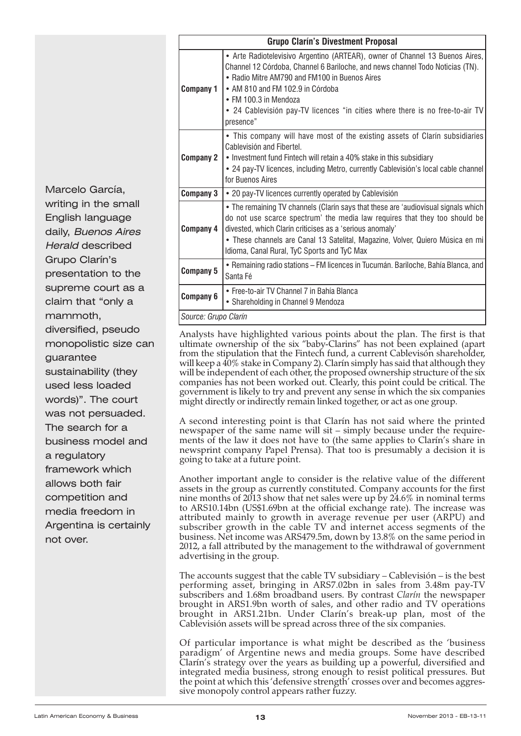|                      | <b>Grupo Clarín's Divestment Proposal</b>                                                                                                                                                                                                                                                                                                                                |  |  |  |
|----------------------|--------------------------------------------------------------------------------------------------------------------------------------------------------------------------------------------------------------------------------------------------------------------------------------------------------------------------------------------------------------------------|--|--|--|
| <b>Company 1</b>     | • Arte Radiotelevisivo Argentino (ARTEAR), owner of Channel 13 Buenos Aires,<br>Channel 12 Córdoba, Channel 6 Bariloche, and news channel Todo Noticias (TN).<br>• Radio Mitre AM790 and FM100 in Buenos Aires<br>• AM 810 and FM 102.9 in Córdoba<br>• FM 100.3 in Mendoza<br>• 24 Cablevisión pay-TV licences "in cities where there is no free-to-air TV<br>presence" |  |  |  |
| <b>Company 2</b>     | • This company will have most of the existing assets of Clarín subsidiaries<br>Cablevisión and Fibertel.<br>• Investment fund Fintech will retain a 40% stake in this subsidiary<br>• 24 pay-TV licences, including Metro, currently Cablevisión's local cable channel<br>for Buenos Aires                                                                               |  |  |  |
| <b>Company 3</b>     | • 20 pay-TV licences currently operated by Cablevisión                                                                                                                                                                                                                                                                                                                   |  |  |  |
| Company 4            | • The remaining TV channels (Clarín says that these are 'audiovisual signals which<br>do not use scarce spectrum' the media law requires that they too should be<br>divested, which Clarín criticises as a 'serious anomaly'<br>• These channels are Canal 13 Satelital, Magazine, Volver, Quiero Música en mi<br>Idioma, Canal Rural, TyC Sports and TyC Max            |  |  |  |
| <b>Company 5</b>     | • Remaining radio stations – FM licences in Tucumán. Bariloche, Bahía Blanca, and<br>Santa Fé                                                                                                                                                                                                                                                                            |  |  |  |
| <b>Company 6</b>     | • Free-to-air TV Channel 7 in Bahía Blanca<br>• Shareholding in Channel 9 Mendoza                                                                                                                                                                                                                                                                                        |  |  |  |
| Source: Grupo Clarín |                                                                                                                                                                                                                                                                                                                                                                          |  |  |  |

Analysts have highlighted various points about the plan. The first is that ultimate ownership of the six "baby-Clarins" has not been explained (apart from the stipulation that the Fintech fund, a current Cablevisón shareholder, will keep a 40% stake in Company 2). Clarín simply has said that although they will be independent of each other, the proposed ownership structure of the six companies has not been worked out. Clearly, this point could be critical. The government is likely to try and prevent any sense in which the six companies might directly or indirectly remain linked together, or act as one group.

A second interesting point is that Clarín has not said where the printed newspaper of the same name will sit – simply because under the requirements of the law it does not have to (the same applies to Clarín's share in newsprint company Papel Prensa). That too is presumably a decision it is going to take at a future point.

Another important angle to consider is the relative value of the different assets in the group as currently constituted. Company accounts for the first nine months of 2013 show that net sales were up by 24.6% in nominal terms to ARS10.14bn (US\$1.69bn at the official exchange rate). The increase was attributed mainly to growth in average revenue per user (ARPU) and subscriber growth in the cable TV and internet access segments of the business. Net income was ARS479.5m, down by 13.8% on the same period in 2012, a fall attributed by the management to the withdrawal of government advertising in the group.

The accounts suggest that the cable TV subsidiary – Cablevisión – is the best performing asset, bringing in ARS7.02bn in sales from 3.48m pay-TV subscribers and 1.68m broadband users. By contrast *Clarín* the newspaper brought in ARS1.9bn worth of sales, and other radio and TV operations brought in ARS1.21bn. Under Clarín's break-up plan, most of the Cablevisión assets will be spread across three of the six companies.

Of particular importance is what might be described as the 'business paradigm' of Argentine news and media groups. Some have described Clarín's strategy over the years as building up a powerful, diversified and integrated media business, strong enough to resist political pressures. But the point at which this 'defensive strength' crosses over and becomes aggressive monopoly control appears rather fuzzy.

Marcelo García, writing in the small English language daily, Buenos Aires Herald described Grupo Clarín's presentation to the supreme court as a claim that "only a mammoth, diversified, pseudo monopolistic size can guarantee sustainability (they used less loaded words)". The court was not persuaded. The search for a business model and a regulatory framework which allows both fair competition and media freedom in Argentina is certainly not over.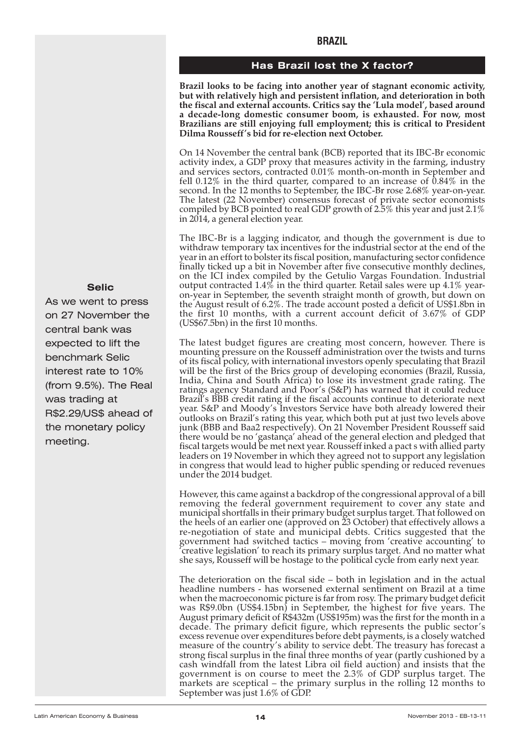#### **Has Brazil lost the X factor?**

<span id="page-13-0"></span>**Brazil looks to be facing into another year of stagnant economic activity, but with relatively high and persistent inflation, and deterioration in both the fiscal and external accounts. Critics say the 'Lula model', based around a decade-long domestic consumer boom, is exhausted. For now, most Brazilians are still enjoying full employment; this is critical to President Dilma Rousseff's bid for re-election next October.**

On 14 November the central bank (BCB) reported that its IBC-Br economic activity index, a GDP proxy that measures activity in the farming, industry and services sectors, contracted 0.01% month-on-month in September and fell 0.12% in the third quarter, compared to an increase of  $0.84\%$  in the second. In the 12 months to September, the IBC-Br rose 2.68% year-on-year. The latest (22 November) consensus forecast of private sector economists compiled by BCB pointed to real GDP growth of 2.5% this year and just 2.1% in 2014, a general election year.

The IBC-Br is a lagging indicator, and though the government is due to withdraw temporary tax incentives for the industrial sector at the end of the yearin an effort to bolsterits fiscal position, manufacturing sector confidence finally ticked up a bit in November after five consecutive monthly declines, on the ICI index compiled by the Getulio Vargas Foundation. Industrial output contracted 1.4% in the third quarter. Retail sales were up  $4.1\%$  yearon-year in September, the seventh straight month of growth, but down on the August result of 6.2%. The trade account posted a deficit of US\$1.8bn in the first 10 months, with a current account deficit of 3.67% of GDP (US\$67.5bn) in the first 10 months.

The latest budget figures are creating most concern, however. There is mounting pressure on the Rousseff administration over the twists and turns of its fiscal policy, with international investors openly speculating that Brazil will be the first of the Brics group of developing economies (Brazil, Russia, India, China and South Africa) to lose its investment grade rating. The ratings agency Standard and Poor's (S&P) has warned that it could reduce Brazil's BBB credit rating if the fiscal accounts continue to deteriorate next year. S&P and Moody's Investors Service have both already lowered their outlooks on Brazil's rating this year, which both put at just two levels above junk (BBB and Baa2 respectively). On 21 November President Rousseff said there would be no 'gastança' ahead of the general election and pledged that fiscal targets would be met next year. Rousseff inked a pact s with allied party leaders on 19 November in which they agreed not to support any legislation in congress that would lead to higher public spending or reduced revenues under the 2014 budget.

However, this came against a backdrop of the congressional approval of a bill removing the federal government requirement to cover any state and municipal shortfalls in their primary budget surplus target. That followed on the heels of an earlier one (approved on 23 October) that effectively allows a re-negotiation of state and municipal debts. Critics suggested that the government had switched tactics – moving from 'creative accounting' to 'creative legislation' to reach its primary surplus target. And no matter what she says, Rousseff will be hostage to the political cycle from early next year.

The deterioration on the fiscal side – both in legislation and in the actual headline numbers - has worsened external sentiment on Brazil at a time when the macroeconomic picture is far from rosy. The primary budget deficit was R\$9.0bn (US\$4.15bn) in September, the highest for five years. The August primary deficit of R\$432m (US\$195m) was the first for the month in a decade. The primary deficit figure, which represents the public sector's excess revenue over expenditures before debt payments, is a closely watched measure of the country's ability to service debt. The treasury has forecast a strong fiscal surplus in the final three months of year (partly cushioned by a cash windfall from the latest Libra oil field auction) and insists that the government is on course to meet the 2.3% of GDP surplus target. The markets are sceptical – the primary surplus in the rolling 12 months to September was just 1.6% of GDP.

#### **Selic**

As we went to press on 27 November the central bank was expected to lift the benchmark Selic interest rate to 10% (from 9.5%). The Real was trading at R\$2.29/US\$ ahead of the monetary policy meeting.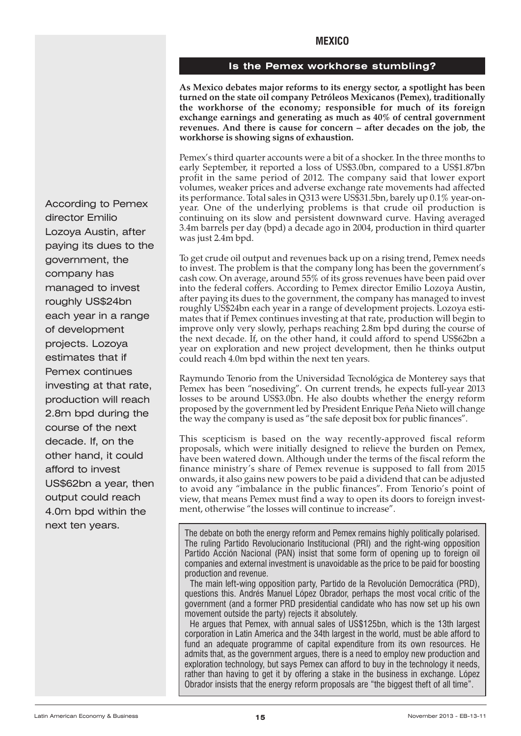#### **Is the Pemex workhorse stumbling?**

<span id="page-14-0"></span>**As Mexico debates major reforms to its energy sector, a spotlight has been turned on the state oil company Petróleos Mexicanos (Pemex), traditionally the workhorse of the economy; responsible for much of its foreign exchange earnings and generating as much as 40% of central government revenues. And there is cause for concern – after decades on the job, the workhorse is showing signs of exhaustion.**

Pemex's third quarter accounts were a bit of a shocker. In the three months to early September, it reported a loss of US\$3.0bn, compared to a US\$1.87bn profit in the same period of 2012. The company said that lower export volumes, weaker prices and adverse exchange rate movements had affected its performance. Total sales in Q313 were US\$31.5bn, barely up 0.1% year-onyear. One of the underlying problems is that crude oil production is continuing on its slow and persistent downward curve. Having averaged 3.4m barrels per day (bpd) a decade ago in 2004, production in third quarter was just 2.4m bpd.

To get crude oil output and revenues back up on a rising trend, Pemex needs to invest. The problem is that the company long has been the government's cash cow. On average, around 55% of its gross revenues have been paid over into the federal coffers. According to Pemex director Emilio Lozoya Austin, after paying its dues to the government, the company has managed to invest roughly US\$24bn each year in a range of development projects. Lozoya estimates that if Pemex continues investing at that rate, production will begin to improve only very slowly, perhaps reaching 2.8m bpd during the course of the next decade. If, on the other hand, it could afford to spend US\$62bn a year on exploration and new project development, then he thinks output could reach 4.0m bpd within the next ten years.

Raymundo Tenorio from the Universidad Tecnológica de Monterey says that Pemex has been "nosediving". On current trends, he expects full-year 2013 losses to be around US\$3.0bn. He also doubts whether the energy reform proposed by the government led by President Enrique Peña Nieto will change the way the company is used as "the safe deposit box for public finances".

This scepticism is based on the way recently-approved fiscal reform proposals, which were initially designed to relieve the burden on Pemex, have been watered down. Although under the terms of the fiscal reform the finance ministry's share of Pemex revenue is supposed to fall from 2015 onwards, it also gains new powers to be paid a dividend that can be adjusted to avoid any "imbalance in the public finances". From Tenorio's point of view, that means Pemex must find a way to open its doors to foreign investment, otherwise "the losses will continue to increase".

The debate on both the energy reform and Pemex remains highly politically polarised. The ruling Partido Revolucionario Institucional (PRI) and the right-wing opposition Partido Acción Nacional (PAN) insist that some form of opening up to foreign oil companies and external investment is unavoidable as the price to be paid for boosting production and revenue.

The main left-wing opposition party, Partido de la Revolución Democrática (PRD), questions this. Andrés Manuel López Obrador, perhaps the most vocal critic of the government (and a former PRD presidential candidate who has now set up his own movement outside the party) rejects it absolutely.

He argues that Pemex, with annual sales of US\$125bn, which is the 13th largest corporation in Latin America and the 34th largest in the world, must be able afford to fund an adequate programme of capital expenditure from its own resources. He admits that, as the government argues, there is a need to employ new production and exploration technology, but says Pemex can afford to buy in the technology it needs, rather than having to get it by offering a stake in the business in exchange. López Obrador insists that the energy reform proposals are "the biggest theft of all time".

According to Pemex director Emilio Lozoya Austin, after paying its dues to the government, the company has managed to invest roughly US\$24bn each year in a range of development projects. Lozoya estimates that if Pemex continues investing at that rate, production will reach 2.8m bpd during the course of the next decade. If, on the other hand, it could afford to invest US\$62bn a year, then output could reach 4.0m bpd within the next ten years.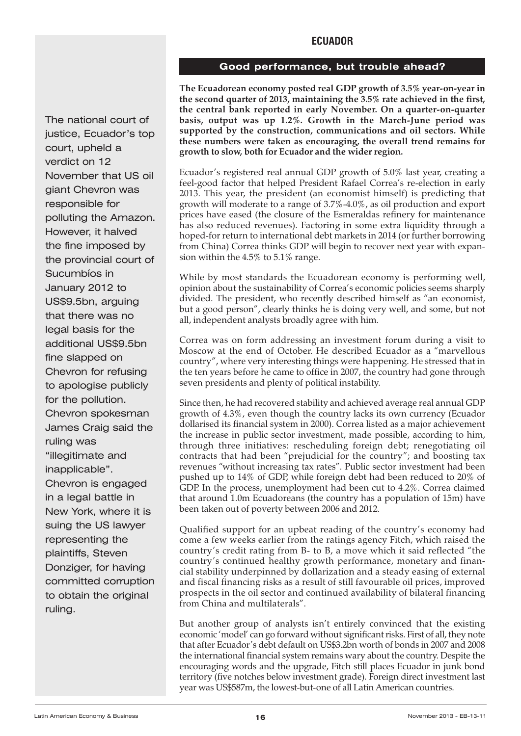# **ECUADOR**

#### **Good performance, but trouble ahead?**

**The Ecuadorean economy posted real GDP growth of 3.5% year-on-year in the second quarter of 2013, maintaining the 3.5% rate achieved in the first, the central bank reported in early November. On a quarter-on-quarter basis, output was up 1.2%. Growth in the March-June period was supported by the construction, communications and oil sectors. While these numbers were taken as encouraging, the overall trend remains for growth to slow, both for Ecuador and the wider region.**

Ecuador's registered real annual GDP growth of 5.0% last year, creating a feel-good factor that helped President Rafael Correa's re-election in early 2013. This year, the president (an economist himself) is predicting that growth will moderate to a range of 3.7%-4.0%, as oil production and export prices have eased (the closure of the Esmeraldas refinery for maintenance has also reduced revenues). Factoring in some extra liquidity through a hoped-for return to international debt markets in 2014 (or further borrowing from China) Correa thinks GDP will begin to recover next year with expansion within the 4.5% to 5.1% range.

While by most standards the Ecuadorean economy is performing well, opinion about the sustainability of Correa's economic policies seems sharply divided. The president, who recently described himself as "an economist, but a good person", clearly thinks he is doing very well, and some, but not all, independent analysts broadly agree with him.

Correa was on form addressing an investment forum during a visit to Moscow at the end of October. He described Ecuador as a "marvellous country", where very interesting things were happening. He stressed that in the ten years before he came to office in 2007, the country had gone through seven presidents and plenty of political instability.

Since then, he had recovered stability and achieved average real annual GDP growth of 4.3%, even though the country lacks its own currency (Ecuador dollarised its financial system in 2000). Correa listed as a major achievement the increase in public sector investment, made possible, according to him, through three initiatives: rescheduling foreign debt; renegotiating oil contracts that had been "prejudicial for the country"; and boosting tax revenues "without increasing tax rates". Public sector investment had been pushed up to 14% of GDP, while foreign debt had been reduced to 20% of GDP. In the process, unemployment had been cut to 4.2%. Correa claimed that around 1.0m Ecuadoreans (the country has a population of 15m) have been taken out of poverty between 2006 and 2012.

Qualified support for an upbeat reading of the country's economy had come a few weeks earlier from the ratings agency Fitch, which raised the country's credit rating from B- to B, a move which it said reflected "the country's continued healthy growth performance, monetary and financial stability underpinned by dollarization and a steady easing of external and fiscal financing risks as a result of still favourable oil prices, improved prospects in the oil sector and continued availability of bilateral financing from China and multilaterals".

But another group of analysts isn't entirely convinced that the existing economic 'model' can go forward without significantrisks. First of all, they note that after Ecuador's debt default on US\$3.2bn worth of bonds in 2007 and 2008 the international financial system remains wary about the country. Despite the encouraging words and the upgrade, Fitch still places Ecuador in junk bond territory (five notches below investment grade). Foreign direct investment last year was US\$587m, the lowest-but-one of all Latin American countries.

<span id="page-15-0"></span>The national court of justice, Ecuador's top court, upheld a verdict on 12 November that US oil giant Chevron was responsible for polluting the Amazon. However, it halved the fine imposed by the provincial court of Sucumbíos in January 2012 to US\$9.5bn, arguing that there was no legal basis for the additional US\$9.5bn fine slapped on Chevron for refusing to apologise publicly for the pollution. Chevron spokesman James Craig said the ruling was "illegitimate and inapplicable". Chevron is engaged in a legal battle in New York, where it is suing the US lawyer representing the plaintiffs, Steven Donziger, for having committed corruption to obtain the original ruling.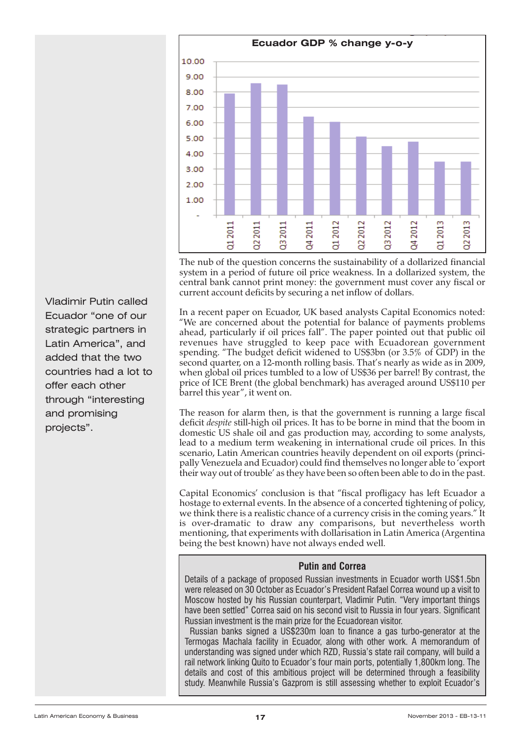

The nub of the question concerns the sustainability of a dollarized financial system in a period of future oil price weakness. In a dollarized system, the central bank cannot print money: the government must cover any fiscal or current account deficits by securing a net inflow of dollars.

In a recent paper on Ecuador, UK based analysts Capital Economics noted: "We are concerned about the potential for balance of payments problems ahead, particularly if oil prices fall". The paper pointed out that public oil revenues have struggled to keep pace with Ecuadorean government spending. "The budget deficit widened to US\$3bn (or 3.5% of GDP) in the second quarter, on a 12-month rolling basis. That's nearly as wide as in 2009, when global oil prices tumbled to a low of US\$36 per barrel! By contrast, the price of ICE Brent (the global benchmark) has averaged around US\$110 per barrel this year", it went on.

The reason for alarm then, is that the government is running a large fiscal deficit *despite* still-high oil prices. It has to be borne in mind that the boom in domestic US shale oil and gas production may, according to some analysts, lead to a medium term weakening in international crude oil prices. In this scenario, Latin American countries heavily dependent on oil exports (principally Venezuela and Ecuador) could find themselves no longer able to 'export their way out of trouble' as they have been so often been able to do in the past.

Capital Economics' conclusion is that "fiscal profligacy has left Ecuador a hostage to external events. In the absence of a concerted tightening of policy, we think there is a realistic chance of a currency crisis in the coming years." It is over-dramatic to draw any comparisons, but nevertheless worth mentioning, that experiments with dollarisation in Latin America (Argentina being the best known) have not always ended well.

# **Putin and Correa**

Details of a package of proposed Russian investments in Ecuador worth US\$1.5bn were released on 30 October as Ecuador's President Rafael Correa wound up a visit to Moscow hosted by his Russian counterpart, Vladimir Putin. "Very important things have been settled" Correa said on his second visit to Russia in four years. Significant Russian investment is the main prize for the Ecuadorean visitor.

Russian banks signed a US\$230m loan to finance a gas turbo-generator at the Termogas Machala facility in Ecuador, along with other work. A memorandum of understanding was signed under which RZD, Russia's state rail company, will build a rail network linking Quito to Ecuador's four main ports, potentially 1,800km long. The details and cost of this ambitious project will be determined through a feasibility study. Meanwhile Russia's Gazprom is still assessing whether to exploit Ecuador's

Vladimir Putin called Ecuador "one of our strategic partners in Latin America", and added that the two countries had a lot to offer each other through "interesting and promising projects".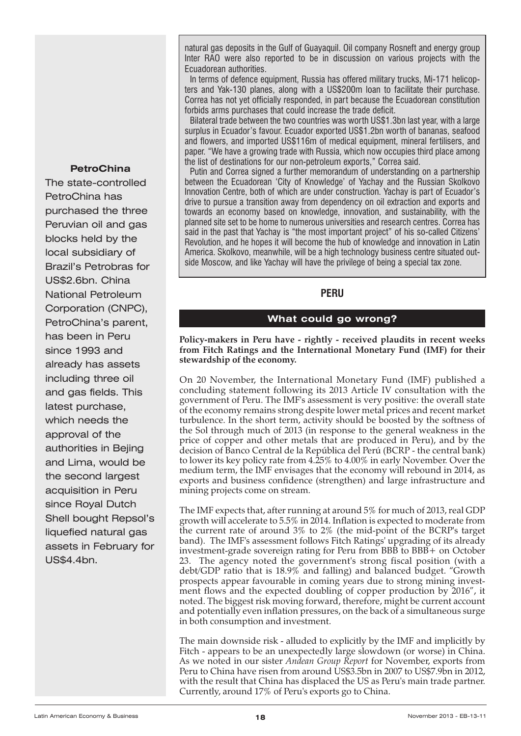# **PetroChina**

The state-controlled PetroChina has purchased the three Peruvian oil and gas blocks held by the local subsidiary of Brazil's Petrobras for US\$2.6bn. China National Petroleum Corporation (CNPC), PetroChina's parent, has been in Peru since 1993 and already has assets including three oil and gas fields. This latest purchase, which needs the approval of the authorities in Beiing and Lima, would be the second largest acquisition in Peru since Royal Dutch Shell bought Repsol's liquefied natural gas assets in February for US\$4.4bn.

<span id="page-17-0"></span>natural gas deposits in the Gulf of Guayaquil. Oil company Rosneft and energy group Inter RAO were also reported to be in discussion on various projects with the Ecuadorean authorities.

In terms of defence equipment, Russia has offered military trucks, Mi-171 helicopters and Yak-130 planes, along with a US\$200m loan to facilitate their purchase. Correa has not yet officially responded, in part because the Ecuadorean constitution forbids arms purchases that could increase the trade deficit.

Bilateral trade between the two countries was worth US\$1.3bn last year, with a large surplus in Ecuador's favour. Ecuador exported US\$1.2bn worth of bananas, seafood and flowers, and imported US\$116m of medical equipment, mineral fertilisers, and paper. "We have a growing trade with Russia, which now occupies third place among the list of destinations for our non-petroleum exports," Correa said.

Putin and Correa signed a further memorandum of understanding on a partnership between the Ecuadorean 'City of Knowledge' of Yachay and the Russian Skolkovo Innovation Centre, both of which are under construction. Yachay is part of Ecuador's drive to pursue a transition away from dependency on oil extraction and exports and towards an economy based on knowledge, innovation, and sustainability, with the planned site set to be home to numerous universities and research centres. Correa has said in the past that Yachay is "the most important project" of his so-called Citizens' Revolution, and he hopes it will become the hub of knowledge and innovation in Latin America. Skolkovo, meanwhile, will be a high technology business centre situated outside Moscow, and like Yachay will have the privilege of being a special tax zone.

**PERU**

# **What could go wrong?**

**Policy-makers in Peru have - rightly - received plaudits in recent weeks from Fitch Ratings and the International Monetary Fund (IMF) for their stewardship of the economy.**

On 20 November, the International Monetary Fund (IMF) published a concluding statement following its 2013 Article IV consultation with the government of Peru. The IMF's assessment is very positive: the overall state of the economy remains strong despite lower metal prices and recent market turbulence. In the short term, activity should be boosted by the softness of the Sol through much of 2013 (in response to the general weakness in the price of copper and other metals that are produced in Peru), and by the decision of Banco Central de la República del Perú (BCRP - the central bank) to lower its key policy rate from 4.25% to 4.00% in early November. Over the medium term, the IMF envisages that the economy will rebound in 2014, as exports and business confidence (strengthen) and large infrastructure and mining projects come on stream.

The IMF expects that, after running at around 5% for much of 2013, real GDP growth will accelerate to 5.5% in 2014. Inflation is expected to moderate from the current rate of around  $3\%$  to  $2\%$  (the mid-point of the BCRP's target band). The IMF's assessment follows Fitch Ratings' upgrading of its already investment-grade sovereign rating for Peru from BBB to BBB+ on October 23. The agency noted the government's strong fiscal position (with a debt/GDP ratio that is 18.9% and falling) and balanced budget. "Growth prospects appear favourable in coming years due to strong mining investment flows and the expected doubling of copper production by 2016", it noted. The biggest risk moving forward, therefore, might be current account and potentially even inflation pressures, on the back of a simultaneous surge in both consumption and investment.

The main downside risk - alluded to explicitly by the IMF and implicitly by Fitch - appears to be an unexpectedly large slowdown (or worse) in China. As we noted in our sister *Andean Group Report* for November, exports from Peru to China have risen from around US\$3.5bn in 2007 to US\$7.9bn in 2012, with the result that China has displaced the US as Peru's main trade partner. Currently, around 17% of Peru's exports go to China.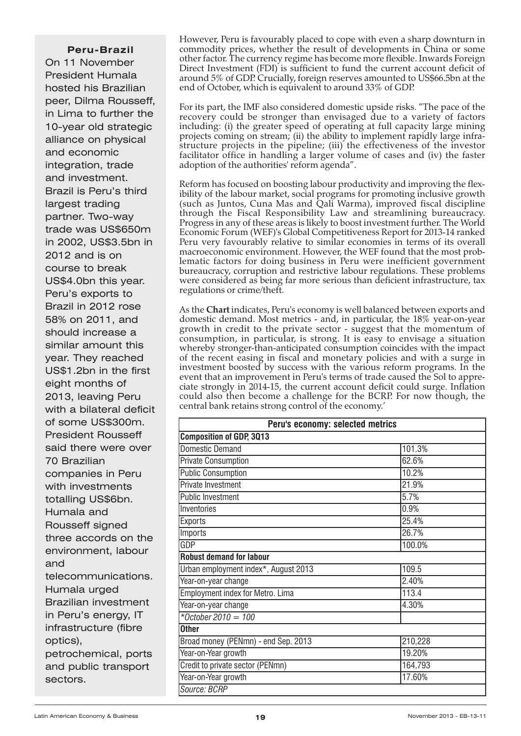# **Peru-Brazil** On 11 November President Humala hosted his Brazilian peer, Dilma Rousseff, in Lima to further the 10-year old strategic alliance on physical and economic integration, trade and investment. Brazil is Peru's third largest trading partner. Two-way trade was US\$650m in 2002, US\$3.5bn in 2012 and is on course to break US\$4.0bn this year. Peru's exports to Brazil in 2012 rose 58% on 2011, and should increase a similar amount this year. They reached US\$1.2bn in the first eight months of 2013, leaving Peru with a bilateral deficit of some US\$300m. President Rousseff said there were over 70 Brazilian companies in Peru with investments totalling US\$6bn. Humala and Rousseff signed three accords on the environment, labour and telecommunications. Humala urged Brazilian investment in Peru's energy, IT infrastructure (fibre optics), petrochemical, ports and public transport

sectors.

However, Peru is favourably placed to cope with even a sharp downturn in commodity prices, whether the result of developments in China or some other factor. The currency regime has become more flexible. Inwards Foreign Direct Investment (FDI) is sufficient to fund the current account deficit of around 5% of GDP. Crucially, foreign reserves amounted to US\$66.5bn at the end of October, which is equivalent to around 33% of GDP.

For its part, the IMF also considered domestic upside risks. "The pace of the recovery could be stronger than envisaged due to a variety of factors including: (i) the greater speed of operating at full capacity large mining projects coming on stream; (ii) the ability to implement rapidly large infrastructure projects in the pipeline; (iii) the effectiveness of the investor facilitator office in handling a larger volume of cases and (iv) the faster adoption of the authorities' reform agenda".

Reform has focused on boosting labour productivity and improving the flexibility of the labour market, social programs for promoting inclusive growth (such as Juntos, Cuna Mas and Qali Warma), improved fiscal discipline through the Fiscal Responsibility Law and streamlining bureaucracy. Progress in any of these areas is likely to boost investment further. The World Economic Forum (WEF)'s Global Competitiveness Report for 2013-14 ranked Peru very favourably relative to similar economies in terms of its overall macroeconomic environment. However, the WEF found that the most problematic factors for doing business in Peru were inefficient government bureaucracy, corruption and restrictive labour regulations. These problems were considered as being far more serious than deficient infrastructure, tax regulations or crime/theft.

As the **Chart** indicates, Peru's economy is well balanced between exports and domestic demand. Most metrics - and, in particular, the 18% year-on-year growth in credit to the private sector - suggest that the momentum of consumption, in particular, is strong. It is easy to envisage a situation whereby stronger-than-anticipated consumption coincides with the impact of the recent easing in fiscal and monetary policies and with a surge in investment boosted by success with the various reform programs. In the event that an improvement in Peru's terms of trade caused the Sol to appreciate strongly in 2014-15, the current account deficit could surge. Inflation could also then become a challenge for the BCRP. For now though, the central bank retains strong control of the economy.'

| Peru's economy: selected metrics     |         |  |  |
|--------------------------------------|---------|--|--|
| <b>Composition of GDP, 3Q13</b>      |         |  |  |
| <b>Domestic Demand</b>               | 101.3%  |  |  |
| <b>Private Consumption</b>           | 62.6%   |  |  |
| <b>Public Consumption</b>            | 10.2%   |  |  |
| <b>Private Investment</b>            | 21.9%   |  |  |
| <b>Public Investment</b>             | 5.7%    |  |  |
| Inventories                          | 0.9%    |  |  |
| <b>Exports</b>                       | 25.4%   |  |  |
| Imports                              | 26.7%   |  |  |
| <b>GDP</b>                           | 100.0%  |  |  |
| <b>Robust demand for labour</b>      |         |  |  |
| Urban employment index*, August 2013 | 109.5   |  |  |
| Year-on-year change                  | 2.40%   |  |  |
| Employment index for Metro. Lima     | 113.4   |  |  |
| Year-on-year change                  | 4.30%   |  |  |
| *October 2010 = $100$                |         |  |  |
| <b>Other</b>                         |         |  |  |
| Broad money (PENmn) - end Sep. 2013  | 210,228 |  |  |
| Year-on-Year growth                  | 19.20%  |  |  |
| Credit to private sector (PENmn)     | 164,793 |  |  |
| Year-on-Year growth                  | 17.60%  |  |  |
| Source: BCRP                         |         |  |  |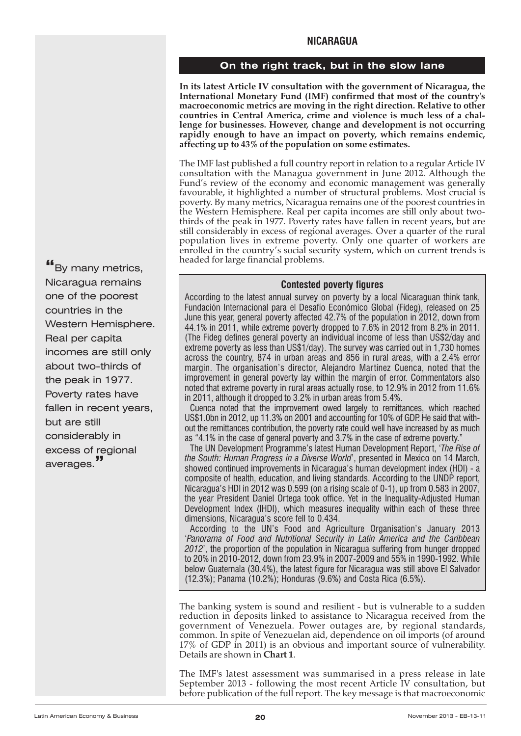# **NICARAGUA**

#### **On the right track, but in the slow lane**

<span id="page-19-0"></span>**In its latest Article IV consultation with the government of Nicaragua, the International Monetary Fund (IMF) confirmed that most of the country's macroeconomic metrics are moving in the right direction. Relative to other countries in Central America, crime and violence is much less of a challenge for businesses. However, change and development is not occurring rapidly enough to have an impact on poverty, which remains endemic, affecting up to 43% of the population on some estimates.**

The IMF last published a full country report in relation to a regular Article IV consultation with the Managua government in June 2012. Although the Fund's review of the economy and economic management was generally favourable, it highlighted a number of structural problems. Most crucial is poverty. By many metrics, Nicaragua remains one of the poorest countries in the Western Hemisphere. Real per capita incomes are still only about twothirds of the peak in 1977. Poverty rates have fallen in recent years, but are still considerably in excess of regional averages. Over a quarter of the rural population lives in extreme poverty. Only one quarter of workers are enrolled in the country's social security system, which on current trends is headed for large financial problems.

#### **Contested poverty figures**

According to the latest annual survey on poverty by a local Nicaraguan think tank, Fundación Internacional para el Desafío Económico Global (Fideg), released on 25 June this year, general poverty affected 42.7% of the population in 2012, down from 44.1% in 2011, while extreme poverty dropped to 7.6% in 2012 from 8.2% in 2011. (The Fideg defines general poverty an individual income of less than US\$2/day and extreme poverty as less than US\$1/day). The survey was carried out in 1,730 homes across the country, 874 in urban areas and 856 in rural areas, with a 2.4% error margin. The organisation's director, Alejandro Martínez Cuenca, noted that the improvement in general poverty lay within the margin of error. Commentators also noted that extreme poverty in rural areas actually rose, to 12.9% in 2012 from 11.6% in 2011, although it dropped to 3.2% in urban areas from 5.4%.

Cuenca noted that the improvement owed largely to remittances, which reached US\$1.0bn in 2012, up 11.3% on 2001 and accounting for 10% of GDP. He said that without the remittances contribution, the poverty rate could well have increased by as much as "4.1% in the case of general poverty and 3.7% in the case of extreme poverty."

The UN Development Programme's latest Human Development Report, '*The Rise of the South: Human Progress in a Diverse World*', presented in Mexico on 14 March, showed continued improvements in Nicaragua's human development index (HDI) - a composite of health, education, and living standards. According to the UNDP report, Nicaragua's HDI in 2012 was 0.599 (on a rising scale of 0-1), up from 0.583 in 2007, the year President Daniel Ortega took office. Yet in the Inequality-Adjusted Human Development Index (IHDI), which measures inequality within each of these three dimensions, Nicaragua's score fell to 0.434.

According to the UN's Food and Agriculture Organisation's January 2013 '*Panorama of Food and Nutritional Security in Latin America and the Caribbean 2012*', the proportion of the population in Nicaragua suffering from hunger dropped to 20% in 2010-2012, down from 23.9% in 2007-2009 and 55% in 1990-1992. While below Guatemala (30.4%), the latest figure for Nicaragua was still above El Salvador (12.3%); Panama (10.2%); Honduras (9.6%) and Costa Rica (6.5%).

The banking system is sound and resilient - but is vulnerable to a sudden reduction in deposits linked to assistance to Nicaragua received from the government of Venezuela. Power outages are, by regional standards, common. In spite of Venezuelan aid, dependence on oil imports (of around 17% of GDP in 2011) is an obvious and important source of vulnerability. Details are shown in **Chart 1**.

The IMF's latest assessment was summarised in a press release in late September 2013 - following the most recent Article IV consultation, but before publication of the full report. The key message is that macroeconomic

**"**By many metrics, Nicaragua remains one of the poorest countries in the Western Hemisphere. Real per capita incomes are still only about two-thirds of the peak in 1977. Poverty rates have fallen in recent years, but are still considerably in excess of regional averages.**"**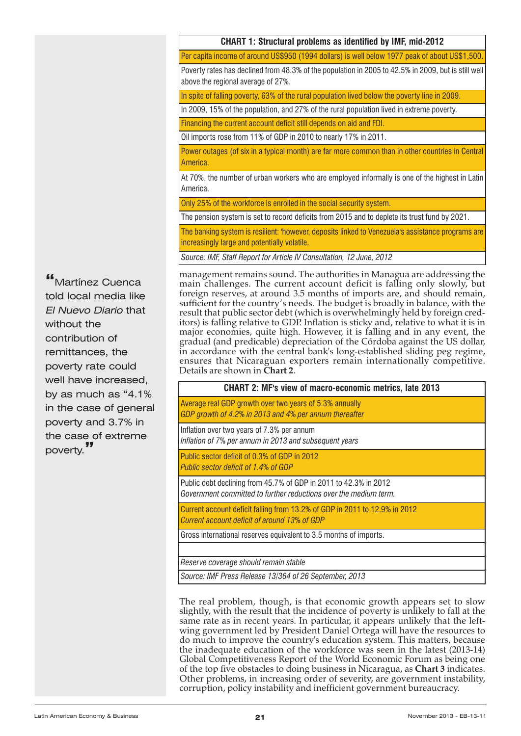|          | <b>CHART 1: Structural problems as identified by IMF, mid-2012</b>                                                                                |
|----------|---------------------------------------------------------------------------------------------------------------------------------------------------|
|          | Per capita income of around US\$950 (1994 dollars) is well below 1977 peak of about US\$1,500.                                                    |
|          | Poverty rates has declined from 48.3% of the population in 2005 to 42.5% in 2009, but is still well<br>above the regional average of 27%.         |
|          | In spite of falling poverty, 63% of the rural population lived below the poverty line in 2009.                                                    |
|          | In 2009, 15% of the population, and 27% of the rural population lived in extreme poverty.                                                         |
|          | Financing the current account deficit still depends on aid and FDI.                                                                               |
|          | Oil imports rose from 11% of GDP in 2010 to nearly 17% in 2011.                                                                                   |
| America. | Power outages (of six in a typical month) are far more common than in other countries in Central                                                  |
| America. | At 70%, the number of urban workers who are employed informally is one of the highest in Latin                                                    |
|          | Only 25% of the workforce is enrolled in the social security system.                                                                              |
|          | The pension system is set to record deficits from 2015 and to deplete its trust fund by 2021.                                                     |
|          | The banking system is resilient: 'however, deposits linked to Venezuela's assistance programs are<br>increasingly large and potentially volatile. |
|          | Source: IMF, Staff Report for Article IV Consultation, 12 June, 2012                                                                              |
|          | management remains sound. The authorities in Managua are addressing the                                                                           |

management remains sound. The authorities in Managua are addressing the main challenges. The current account deficit is falling only slowly, but foreign reserves, at around 3.5 months of imports are, and should remain, sufficient for the country's needs. The budget is broadly in balance, with the result that public sector debt (which is overwhelmingly held by foreign creditors) is falling relative to GDP. Inflation is sticky and, relative to what it is in major economies, quite high. However, it is falling and in any event, the gradual (and predicable) depreciation of the Córdoba against the US dollar, in accordance with the central bank's long-established sliding peg regime, ensures that Nicaraguan exporters remain internationally competitive. Details are shown in **Chart 2**.

| <b>CHART 2: MF's view of macro-economic metrics, late 2013</b>                                                                       |
|--------------------------------------------------------------------------------------------------------------------------------------|
| Average real GDP growth over two years of 5.3% annually<br>GDP growth of 4.2% in 2013 and 4% per annum thereafter                    |
| Inflation over two years of 7.3% per annum<br>Inflation of 7% per annum in 2013 and subsequent years                                 |
| Public sector deficit of 0.3% of GDP in 2012<br>Public sector deficit of 1.4% of GDP                                                 |
| Public debt declining from 45.7% of GDP in 2011 to 42.3% in 2012<br>Government committed to further reductions over the medium term. |
| Current account deficit falling from 13.2% of GDP in 2011 to 12.9% in 2012<br>Current account deficit of around 13% of GDP           |
| Gross international reserves equivalent to 3.5 months of imports.                                                                    |
|                                                                                                                                      |

*Reserve coverage should remain stable*

*Source: IMF Press Release 13/364 of 26 September, 2013*

The real problem, though, is that economic growth appears set to slow slightly, with the result that the incidence of poverty is unlikely to fall at the same rate as in recent years. In particular, it appears unlikely that the leftwing government led by President Daniel Ortega will have the resources to do much to improve the country's education system. This matters, because the inadequate education of the workforce was seen in the latest (2013-14) Global Competitiveness Report of the World Economic Forum as being one of the top five obstacles to doing business in Nicaragua, as **Chart 3** indicates. Other problems, in increasing order of severity, are government instability, corruption, policy instability and inefficient government bureaucracy.

**"**Martínez Cuenca told local media like El Nuevo Diario that without the contribution of remittances, the poverty rate could well have increased, by as much as "4.1% in the case of general poverty and 3.7% in the case of extreme poverty.**"**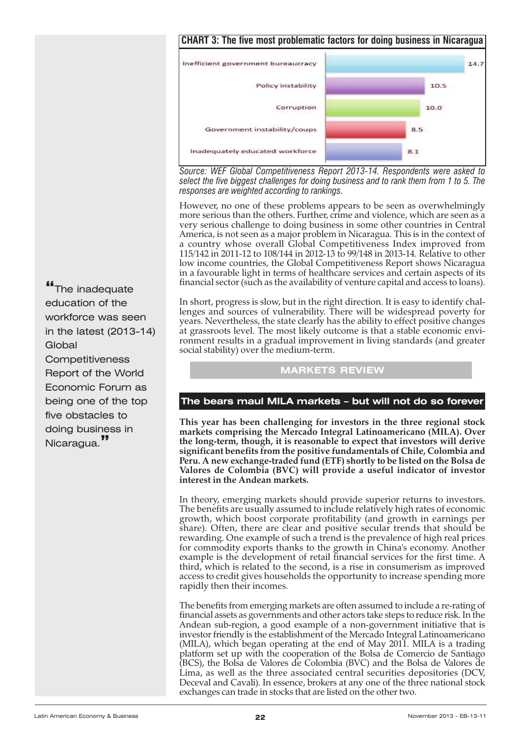<span id="page-21-0"></span>

*Source: WEF Global Competitiveness Report 2013-14. Respondents were asked to select the five biggest challenges for doing business and to rank them from 1 to 5. The responses are weighted according to rankings.*

However, no one of these problems appears to be seen as overwhelmingly more serious than the others. Further, crime and violence, which are seen as a very serious challenge to doing business in some other countries in Central America, is not seen as a major problem in Nicaragua. This is in the context of a country whose overall Global Competitiveness Index improved from 115/142 in 2011-12 to 108/144 in 2012-13 to 99/148 in 2013-14. Relative to other low income countries, the Global Competitiveness Report shows Nicaragua in a favourable light in terms of healthcare services and certain aspects of its financial sector (such as the availability of venture capital and access to loans).

In short, progress is slow, but in the right direction. It is easy to identify challenges and sources of vulnerability. There will be widespread poverty for years. Nevertheless, the state clearly has the ability to effect positive changes at grassroots level. The most likely outcome is that a stable economic environment results in a gradual improvement in living standards (and greater social stability) over the medium-term.

# **MARKETS REVIEW**

# **The bears maul MILA markets – but will not do so forever**

**This year has been challenging for investors in the three regional stock markets comprising the Mercado Integral Latinoamericano (MILA). Over the long-term, though, it is reasonable to expect that investors will derive significant benefits from the positive fundamentals of Chile, Colombia and Peru. A new exchange-traded fund (ETF) shortly to be listed on the Bolsa de Valores de Colombia (BVC) will provide a useful indicator of investor interest in the Andean markets.**

In theory, emerging markets should provide superior returns to investors. The benefits are usually assumed to include relatively high rates of economic growth, which boost corporate profitability (and growth in earnings per share). Often, there are clear and positive secular trends that should be rewarding. One example of such a trend is the prevalence of high real prices for commodity exports thanks to the growth in China's economy. Another example is the development of retail financial services for the first time. A third, which is related to the second, is a rise in consumerism as improved access to credit gives households the opportunity to increase spending more rapidly then their incomes.

The benefits from emerging markets are often assumed to include a re-rating of financial assets as governments and other actors take steps to reduce risk. In the Andean sub-region, a good example of a non-government initiative that is investor friendly is the establishment of the Mercado Integral Latinoamericano (MILA), which began operating at the end of May 2011. MILA is a trading platform set up with the cooperation of the Bolsa de Comercio de Santiago (BCS), the Bolsa de Valores de Colombia (BVC) and the Bolsa de Valores de Lima, as well as the three associated central securities depositories (DCV, Deceval and Cavali). In essence, brokers at any one of the three national stock exchanges can trade in stocks that are listed on the other two.

**"**The inadequate education of the workforce was seen in the latest (2013-14) **Global Competitiveness** Report of the World Economic Forum as being one of the top five obstacles to doing business in Nicaragua.**"**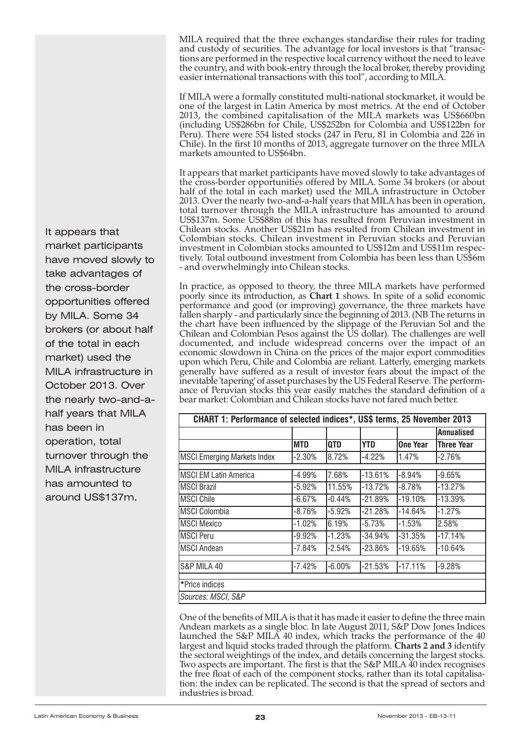MILA required that the three exchanges standardise their rules for trading and custody of securities. The advantage for local investors is that "transactions are performed in the respective local currency without the need to leave the country, and with book-entry through the local broker, thereby providing easier international transactions with this tool", according to MILA.

If MILA were a formally constituted multi-national stockmarket, it would be one of the largest in Latin America by most metrics. At the end of October 2013, the combined capitalisation of the MILA markets was US\$660bn (including US\$286bn for Chile, US\$252bn for Colombia and US\$122bn for Peru). There were 554 listed stocks (247 in Peru, 81 in Colombia and 226 in Chile). In the first 10 months of 2013, aggregate turnover on the three MILA markets amounted to US\$64bn.

It appears that market participants have moved slowly to take advantages of the cross-border opportunities offered by MILA. Some 34 brokers (or about half of the total in each market) used the MILA infrastructure in October 2013. Over the nearly two-and-a-half years that MILA has been in operation, total turnover through the MILA infrastructure has amounted to around US\$137m. Some US\$88m of this has resulted from Peruvian investment in Chilean stocks. Another US\$21m has resulted from Chilean investment in Colombian stocks. Chilean investment in Peruvian stocks and Peruvian investment in Colombian stocks amounted to US\$12m and US\$11m respectively. Total outbound investment from Colombia has been less than US\$6m - and overwhelmingly into Chilean stocks.

In practice, as opposed to theory, the three MILA markets have performed poorly since its introduction, as **Chart 1** shows. In spite of a solid economic performance and good (or improving) governance, the three markets have fallen sharply - and particularly since the beginning of 2013. (NB The returns in the chart have been influenced by the slippage of the Peruvian Sol and the Chilean and Colombian Pesos against the US dollar). The challenges are well documented, and include widespread concerns over the impact of an economic slowdown in China on the prices of the major export commodities upon which Peru, Chile and Colombia are reliant. Latterly, emerging markets generally have suffered as a result of investor fears about the impact of the inevitable 'tapering' of asset purchases by the US Federal Reserve. The performance of Peruvian stocks this year easily matches the standard definition of a bear market: Colombian and Chilean stocks have not fared much better.

| CHART 1: Performance of selected indices*, US\$ terms, 25 November 2013 |          |            |            |                 |                   |
|-------------------------------------------------------------------------|----------|------------|------------|-----------------|-------------------|
|                                                                         |          |            |            |                 | <b>Annualised</b> |
|                                                                         | IMTD     | <b>QTD</b> | <b>YTD</b> | <b>One Year</b> | <b>Three Year</b> |
| <b>MSCI Emerging Markets Index</b>                                      | $-2.30%$ | 8.72%      | $-4.22%$   | 1.47%           | $-2.76%$          |
|                                                                         |          |            |            |                 |                   |
| <b>IMSCI EM Latin America</b>                                           | $-4.99%$ | 7.68%      | $-13.61%$  | $-8.94%$        | $-9.65%$          |
| IMSCI Brazil                                                            | $-5.92%$ | 11.55%     | $-13.72%$  | $-8.78%$        | $-13.27%$         |
| <b>IMSCI Chile</b>                                                      | $-6.67%$ | $-0.44%$   | $-21.89%$  | $-19.10%$       | -13.39%           |
| MSCI Colombia                                                           | $-8.76%$ | $-5.92%$   | $-21.28%$  | -14.64%         | $-1.27%$          |
| <b>I</b> MSCI Mexico                                                    | $-1.02%$ | 6.19%      | $-5.73%$   | $-1.53%$        | 2.58%             |
| IMSCI Peru                                                              | $-9.92%$ | $-1.23%$   | -34.94%    | -31.35%         | $-17.14%$         |
| IMSCI Andean                                                            | $-7.84%$ | $-2.54%$   | $-23.86%$  | -19.65%         | $-10.64%$         |
|                                                                         |          |            |            |                 |                   |
| <b>S&amp;P MILA 40</b>                                                  | $-7.42%$ | $-6.00%$   | $-21.53%$  | $-17.11%$       | $-9.28%$          |
|                                                                         |          |            |            |                 |                   |
| Price indices*                                                          |          |            |            |                 |                   |
| Sources: MSCI, S&P                                                      |          |            |            |                 |                   |

One of the benefits of MILA is that it has made it easier to define the three main Andean markets as a single bloc. In late August 2011, S&P Dow Jones Indices launched the S&P MILA 40 index, which tracks the performance of the 40 largest and liquid stocks traded through the platform. **Charts 2 and 3** identify the sectoral weightings of the index, and details concerning the largest stocks. Two aspects are important. The first is that the S&P MILA  $40$  index recognises the free float of each of the component stocks, rather than its total capitalisation: the index can be replicated. The second is that the spread of sectors and industries is broad.

It appears that market participants have moved slowly to take advantages of the cross-border opportunities offered by MILA. Some 34 brokers (or about half of the total in each market) used the MILA infrastructure in October 2013. Over the nearly two-and-ahalf years that MILA has been in operation, total turnover through the MILA infrastructure has amounted to around US\$137m.